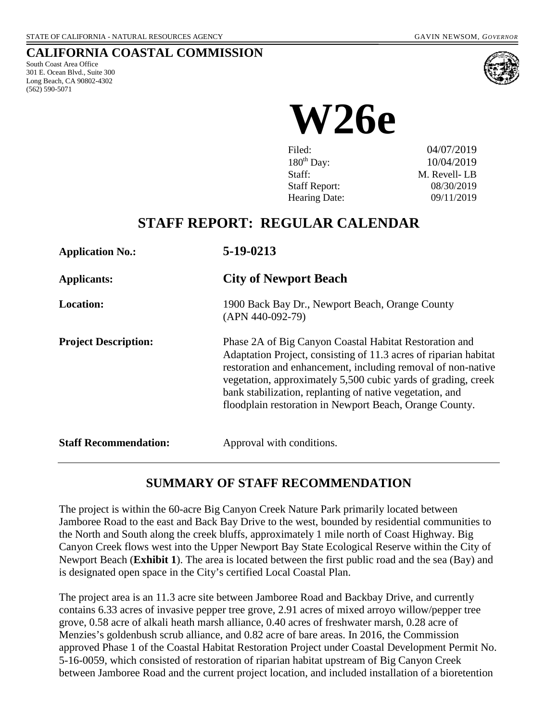#### **CALIFORNIA COASTAL COMMISSION**

South Coast Area Office 301 E. Ocean Blvd., Suite 300 Long Beach, CA 90802-4302 (562) 590-5071



# **W26e**

| Filed:               | 04/07/2019   |
|----------------------|--------------|
| $180^{th}$ Day:      | 10/04/2019   |
| Staff:               | M. Revell-LB |
| <b>Staff Report:</b> | 08/30/2019   |
| Hearing Date:        | 09/11/2019   |

# **STAFF REPORT: REGULAR CALENDAR**

| <b>Application No.:</b>      | 5-19-0213                                                                                                                                                                                                                                                                                                                                                                          |
|------------------------------|------------------------------------------------------------------------------------------------------------------------------------------------------------------------------------------------------------------------------------------------------------------------------------------------------------------------------------------------------------------------------------|
| <b>Applicants:</b>           | <b>City of Newport Beach</b>                                                                                                                                                                                                                                                                                                                                                       |
| <b>Location:</b>             | 1900 Back Bay Dr., Newport Beach, Orange County<br>$(APN 440-092-79)$                                                                                                                                                                                                                                                                                                              |
| <b>Project Description:</b>  | Phase 2A of Big Canyon Coastal Habitat Restoration and<br>Adaptation Project, consisting of 11.3 acres of riparian habitat<br>restoration and enhancement, including removal of non-native<br>vegetation, approximately 5,500 cubic yards of grading, creek<br>bank stabilization, replanting of native vegetation, and<br>floodplain restoration in Newport Beach, Orange County. |
| <b>Staff Recommendation:</b> | Approval with conditions.                                                                                                                                                                                                                                                                                                                                                          |

# **SUMMARY OF STAFF RECOMMENDATION**

The project is within the 60-acre Big Canyon Creek Nature Park primarily located between Jamboree Road to the east and Back Bay Drive to the west, bounded by residential communities to the North and South along the creek bluffs, approximately 1 mile north of Coast Highway. Big Canyon Creek flows west into the Upper Newport Bay State Ecological Reserve within the City of Newport Beach (**[Exhibit 1](https://documents.coastal.ca.gov/reports/2019/9/w26e/w26e-9-2019-exhibits.pdf)**). The area is located between the first public road and the sea (Bay) and is designated open space in the City's certified Local Coastal Plan.

The project area is an 11.3 acre site between Jamboree Road and Backbay Drive, and currently contains 6.33 acres of invasive pepper tree grove, 2.91 acres of mixed arroyo willow/pepper tree grove, 0.58 acre of alkali heath marsh alliance, 0.40 acres of freshwater marsh, 0.28 acre of Menzies's goldenbush scrub alliance, and 0.82 acre of bare areas. In 2016, the Commission approved Phase 1 of the Coastal Habitat Restoration Project under Coastal Development Permit No. 5-16-0059, which consisted of restoration of riparian habitat upstream of Big Canyon Creek between Jamboree Road and the current project location, and included installation of a bioretention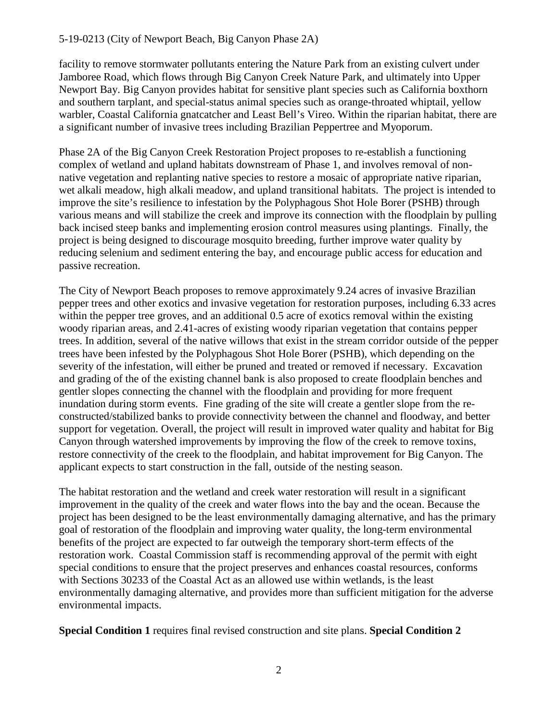facility to remove stormwater pollutants entering the Nature Park from an existing culvert under Jamboree Road, which flows through Big Canyon Creek Nature Park, and ultimately into Upper Newport Bay. Big Canyon provides habitat for sensitive plant species such as California boxthorn and southern tarplant, and special-status animal species such as orange-throated whiptail, yellow warbler, Coastal California gnatcatcher and Least Bell's Vireo. Within the riparian habitat, there are a significant number of invasive trees including Brazilian Peppertree and Myoporum.

Phase 2A of the Big Canyon Creek Restoration Project proposes to re-establish a functioning complex of wetland and upland habitats downstream of Phase 1, and involves removal of nonnative vegetation and replanting native species to restore a mosaic of appropriate native riparian, wet alkali meadow, high alkali meadow, and upland transitional habitats. The project is intended to improve the site's resilience to infestation by the Polyphagous Shot Hole Borer (PSHB) through various means and will stabilize the creek and improve its connection with the floodplain by pulling back incised steep banks and implementing erosion control measures using plantings. Finally, the project is being designed to discourage mosquito breeding, further improve water quality by reducing selenium and sediment entering the bay, and encourage public access for education and passive recreation.

The City of Newport Beach proposes to remove approximately 9.24 acres of invasive Brazilian pepper trees and other exotics and invasive vegetation for restoration purposes, including 6.33 acres within the pepper tree groves, and an additional 0.5 acre of exotics removal within the existing woody riparian areas, and 2.41-acres of existing woody riparian vegetation that contains pepper trees. In addition, several of the native willows that exist in the stream corridor outside of the pepper trees have been infested by the Polyphagous Shot Hole Borer (PSHB), which depending on the severity of the infestation, will either be pruned and treated or removed if necessary. Excavation and grading of the of the existing channel bank is also proposed to create floodplain benches and gentler slopes connecting the channel with the floodplain and providing for more frequent inundation during storm events. Fine grading of the site will create a gentler slope from the reconstructed/stabilized banks to provide connectivity between the channel and floodway, and better support for vegetation. Overall, the project will result in improved water quality and habitat for Big Canyon through watershed improvements by improving the flow of the creek to remove toxins, restore connectivity of the creek to the floodplain, and habitat improvement for Big Canyon. The applicant expects to start construction in the fall, outside of the nesting season.

The habitat restoration and the wetland and creek water restoration will result in a significant improvement in the quality of the creek and water flows into the bay and the ocean. Because the project has been designed to be the least environmentally damaging alternative, and has the primary goal of restoration of the floodplain and improving water quality, the long-term environmental benefits of the project are expected to far outweigh the temporary short-term effects of the restoration work. Coastal Commission staff is recommending approval of the permit with eight special conditions to ensure that the project preserves and enhances coastal resources, conforms with Sections 30233 of the Coastal Act as an allowed use within wetlands, is the least environmentally damaging alternative, and provides more than sufficient mitigation for the adverse environmental impacts.

**Special Condition 1** requires final revised construction and site plans. **Special Condition 2**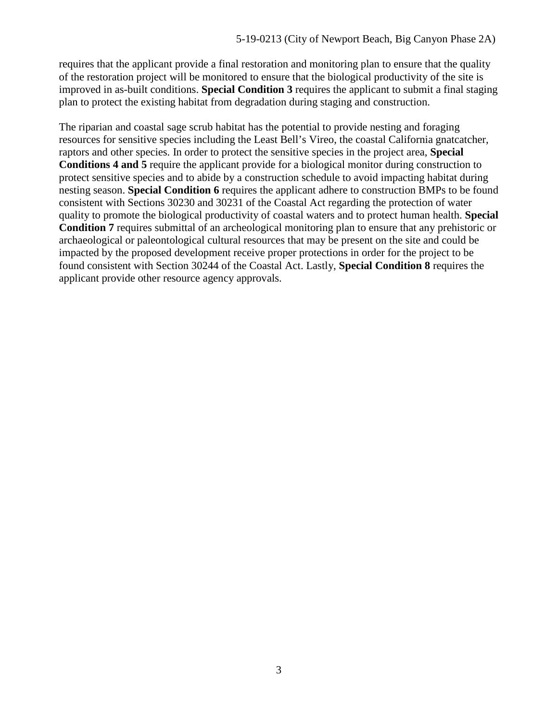requires that the applicant provide a final restoration and monitoring plan to ensure that the quality of the restoration project will be monitored to ensure that the biological productivity of the site is improved in as-built conditions. **Special Condition 3** requires the applicant to submit a final staging plan to protect the existing habitat from degradation during staging and construction.

The riparian and coastal sage scrub habitat has the potential to provide nesting and foraging resources for sensitive species including the Least Bell's Vireo, the coastal California gnatcatcher, raptors and other species. In order to protect the sensitive species in the project area, **Special Conditions 4 and 5** require the applicant provide for a biological monitor during construction to protect sensitive species and to abide by a construction schedule to avoid impacting habitat during nesting season. **Special Condition 6** requires the applicant adhere to construction BMPs to be found consistent with Sections 30230 and 30231 of the Coastal Act regarding the protection of water quality to promote the biological productivity of coastal waters and to protect human health. **Special Condition 7** requires submittal of an archeological monitoring plan to ensure that any prehistoric or archaeological or paleontological cultural resources that may be present on the site and could be impacted by the proposed development receive proper protections in order for the project to be found consistent with Section 30244 of the Coastal Act. Lastly, **Special Condition 8** requires the applicant provide other resource agency approvals.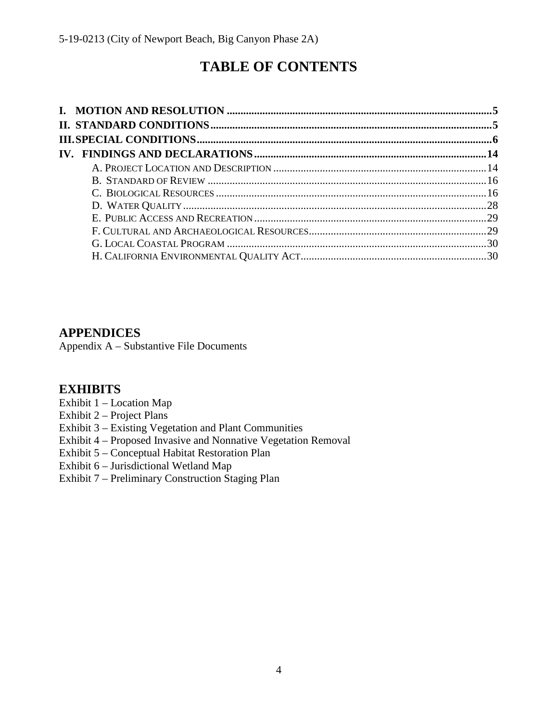# **TABLE OF CONTENTS**

# **APPENDICES**

Appendix A – Substantive File Documents

# **[EXHIBITS](https://documents.coastal.ca.gov/reports/2019/9/w26e/w26e-9-2019-exhibits.pdf)**

[Exhibit 1 – Location Map](https://documents.coastal.ca.gov/reports/2019/9/w26e/w26e-9-2019-exhibits.pdf) 

[Exhibit 2 – Project Plans](https://documents.coastal.ca.gov/reports/2019/9/w26e/w26e-9-2019-exhibits.pdf)

[Exhibit 3 – Existing Vegetation and Plant Communities](https://documents.coastal.ca.gov/reports/2019/9/w26e/w26e-9-2019-exhibits.pdf) 

- [Exhibit 4 Proposed Invasive and Nonnative Vegetation Removal](https://documents.coastal.ca.gov/reports/2019/9/w26e/w26e-9-2019-exhibits.pdf)
- [Exhibit 5 Conceptual Habitat Restoration Plan](https://documents.coastal.ca.gov/reports/2019/9/w26e/w26e-9-2019-exhibits.pdf)
- [Exhibit 6 Jurisdictional Wetland Map](https://documents.coastal.ca.gov/reports/2019/9/w26e/w26e-9-2019-exhibits.pdf)
- [Exhibit 7 Preliminary Construction Staging Plan](https://documents.coastal.ca.gov/reports/2019/9/w26e/w26e-9-2019-exhibits.pdf)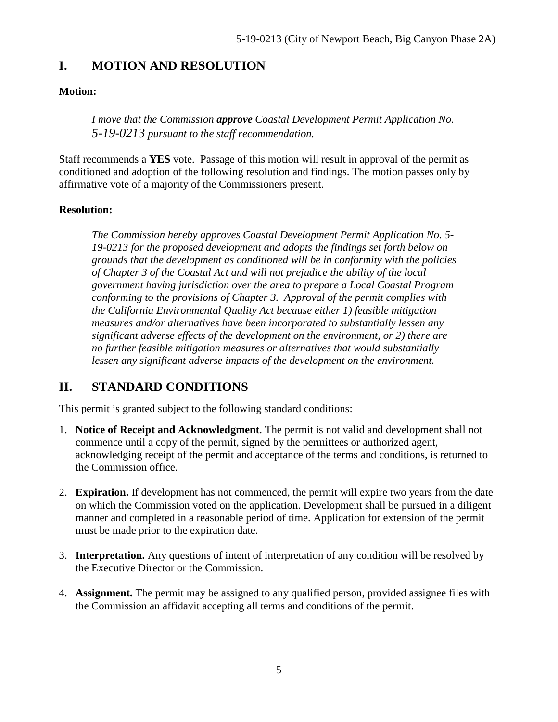# <span id="page-4-0"></span>**I. MOTION AND RESOLUTION**

#### **Motion:**

*I move that the Commission approve Coastal Development Permit Application No. 5-19-0213 pursuant to the staff recommendation.*

Staff recommends a **YES** vote. Passage of this motion will result in approval of the permit as conditioned and adoption of the following resolution and findings. The motion passes only by affirmative vote of a majority of the Commissioners present.

#### **Resolution:**

*The Commission hereby approves Coastal Development Permit Application No. 5- 19-0213 for the proposed development and adopts the findings set forth below on grounds that the development as conditioned will be in conformity with the policies of Chapter 3 of the Coastal Act and will not prejudice the ability of the local government having jurisdiction over the area to prepare a Local Coastal Program conforming to the provisions of Chapter 3. Approval of the permit complies with the California Environmental Quality Act because either 1) feasible mitigation measures and/or alternatives have been incorporated to substantially lessen any significant adverse effects of the development on the environment, or 2) there are no further feasible mitigation measures or alternatives that would substantially lessen any significant adverse impacts of the development on the environment.* 

# <span id="page-4-1"></span>**II. STANDARD CONDITIONS**

This permit is granted subject to the following standard conditions:

- 1. **Notice of Receipt and Acknowledgment**. The permit is not valid and development shall not commence until a copy of the permit, signed by the permittees or authorized agent, acknowledging receipt of the permit and acceptance of the terms and conditions, is returned to the Commission office.
- 2. **Expiration.** If development has not commenced, the permit will expire two years from the date on which the Commission voted on the application. Development shall be pursued in a diligent manner and completed in a reasonable period of time. Application for extension of the permit must be made prior to the expiration date.
- 3. **Interpretation.** Any questions of intent of interpretation of any condition will be resolved by the Executive Director or the Commission.
- 4. **Assignment.** The permit may be assigned to any qualified person, provided assignee files with the Commission an affidavit accepting all terms and conditions of the permit.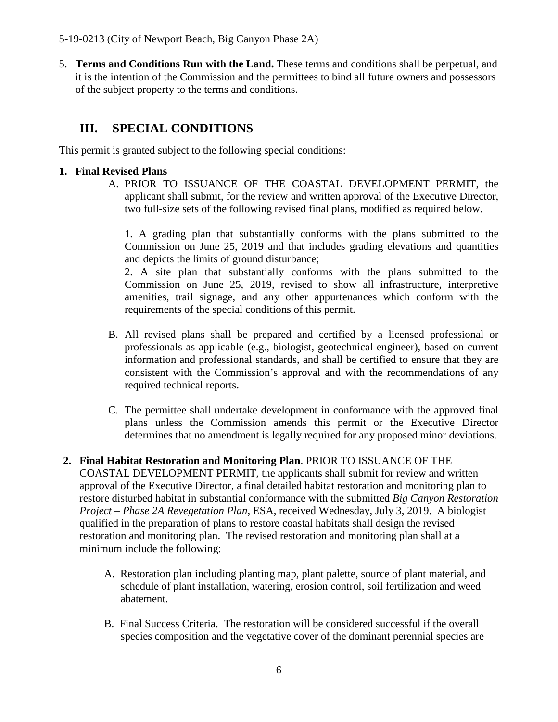5. **Terms and Conditions Run with the Land.** These terms and conditions shall be perpetual, and it is the intention of the Commission and the permittees to bind all future owners and possessors of the subject property to the terms and conditions.

# <span id="page-5-0"></span>**III. SPECIAL CONDITIONS**

This permit is granted subject to the following special conditions:

#### **1. Final Revised Plans**

A. PRIOR TO ISSUANCE OF THE COASTAL DEVELOPMENT PERMIT, the applicant shall submit, for the review and written approval of the Executive Director, two full-size sets of the following revised final plans, modified as required below.

1. A grading plan that substantially conforms with the plans submitted to the Commission on June 25, 2019 and that includes grading elevations and quantities and depicts the limits of ground disturbance;

2. A site plan that substantially conforms with the plans submitted to the Commission on June 25, 2019, revised to show all infrastructure, interpretive amenities, trail signage, and any other appurtenances which conform with the requirements of the special conditions of this permit.

- B. All revised plans shall be prepared and certified by a licensed professional or professionals as applicable (e.g., biologist, geotechnical engineer), based on current information and professional standards, and shall be certified to ensure that they are consistent with the Commission's approval and with the recommendations of any required technical reports.
- C. The permittee shall undertake development in conformance with the approved final plans unless the Commission amends this permit or the Executive Director determines that no amendment is legally required for any proposed minor deviations.
- **2. Final Habitat Restoration and Monitoring Plan**. PRIOR TO ISSUANCE OF THE COASTAL DEVELOPMENT PERMIT, the applicants shall submit for review and written approval of the Executive Director, a final detailed habitat restoration and monitoring plan to restore disturbed habitat in substantial conformance with the submitted *Big Canyon Restoration Project – Phase 2A Revegetation Plan*, ESA, received Wednesday, July 3, 2019. A biologist qualified in the preparation of plans to restore coastal habitats shall design the revised restoration and monitoring plan. The revised restoration and monitoring plan shall at a minimum include the following:
	- A. Restoration plan including planting map, plant palette, source of plant material, and schedule of plant installation, watering, erosion control, soil fertilization and weed abatement.
	- B. Final Success Criteria. The restoration will be considered successful if the overall species composition and the vegetative cover of the dominant perennial species are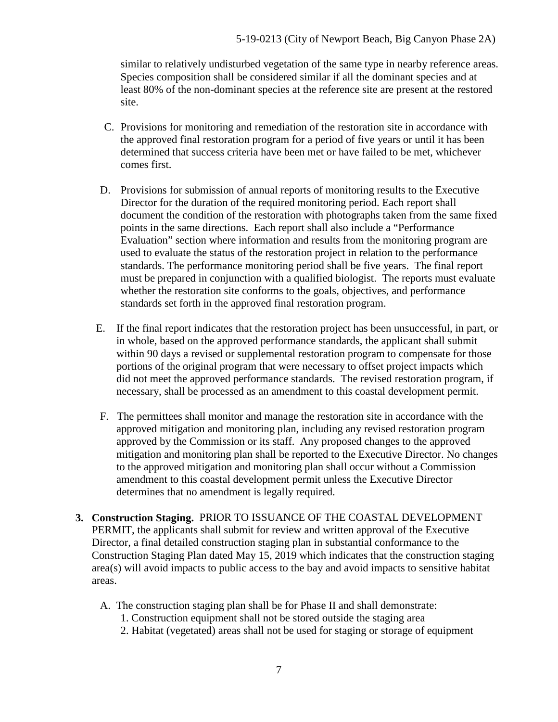similar to relatively undisturbed vegetation of the same type in nearby reference areas. Species composition shall be considered similar if all the dominant species and at least 80% of the non-dominant species at the reference site are present at the restored site.

- C. Provisions for monitoring and remediation of the restoration site in accordance with the approved final restoration program for a period of five years or until it has been determined that success criteria have been met or have failed to be met, whichever comes first.
- D. Provisions for submission of annual reports of monitoring results to the Executive Director for the duration of the required monitoring period. Each report shall document the condition of the restoration with photographs taken from the same fixed points in the same directions. Each report shall also include a "Performance Evaluation" section where information and results from the monitoring program are used to evaluate the status of the restoration project in relation to the performance standards. The performance monitoring period shall be five years. The final report must be prepared in conjunction with a qualified biologist. The reports must evaluate whether the restoration site conforms to the goals, objectives, and performance standards set forth in the approved final restoration program.
- E. If the final report indicates that the restoration project has been unsuccessful, in part, or in whole, based on the approved performance standards, the applicant shall submit within 90 days a revised or supplemental restoration program to compensate for those portions of the original program that were necessary to offset project impacts which did not meet the approved performance standards. The revised restoration program, if necessary, shall be processed as an amendment to this coastal development permit.
- F. The permittees shall monitor and manage the restoration site in accordance with the approved mitigation and monitoring plan, including any revised restoration program approved by the Commission or its staff. Any proposed changes to the approved mitigation and monitoring plan shall be reported to the Executive Director. No changes to the approved mitigation and monitoring plan shall occur without a Commission amendment to this coastal development permit unless the Executive Director determines that no amendment is legally required.
- **3. Construction Staging.** PRIOR TO ISSUANCE OF THE COASTAL DEVELOPMENT PERMIT, the applicants shall submit for review and written approval of the Executive Director, a final detailed construction staging plan in substantial conformance to the Construction Staging Plan dated May 15, 2019 which indicates that the construction staging area(s) will avoid impacts to public access to the bay and avoid impacts to sensitive habitat areas.
	- A. The construction staging plan shall be for Phase II and shall demonstrate:
		- 1. Construction equipment shall not be stored outside the staging area
		- 2. Habitat (vegetated) areas shall not be used for staging or storage of equipment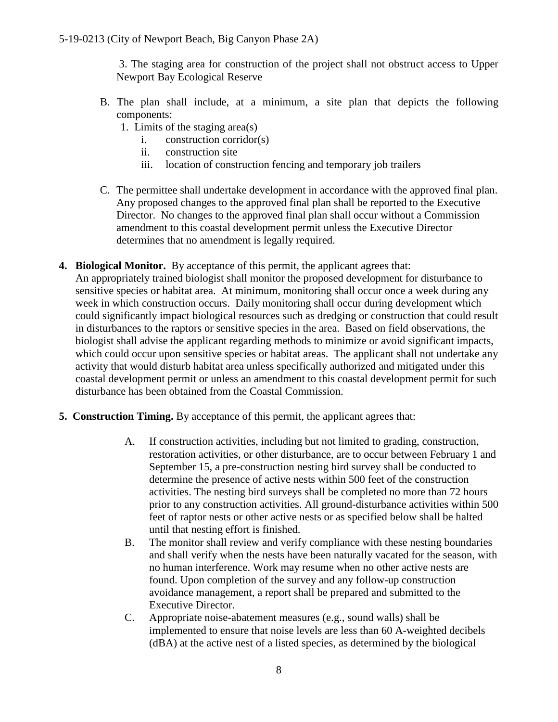3. The staging area for construction of the project shall not obstruct access to Upper Newport Bay Ecological Reserve

- B. The plan shall include, at a minimum, a site plan that depicts the following components:
	- 1. Limits of the staging area(s)
		- i. construction corridor(s)
		- ii. construction site
		- iii. location of construction fencing and temporary job trailers
- C. The permittee shall undertake development in accordance with the approved final plan. Any proposed changes to the approved final plan shall be reported to the Executive Director. No changes to the approved final plan shall occur without a Commission amendment to this coastal development permit unless the Executive Director determines that no amendment is legally required.
- **4. Biological Monitor.** By acceptance of this permit, the applicant agrees that: An appropriately trained biologist shall monitor the proposed development for disturbance to sensitive species or habitat area. At minimum, monitoring shall occur once a week during any week in which construction occurs. Daily monitoring shall occur during development which could significantly impact biological resources such as dredging or construction that could result in disturbances to the raptors or sensitive species in the area. Based on field observations, the biologist shall advise the applicant regarding methods to minimize or avoid significant impacts, which could occur upon sensitive species or habitat areas. The applicant shall not undertake any activity that would disturb habitat area unless specifically authorized and mitigated under this coastal development permit or unless an amendment to this coastal development permit for such disturbance has been obtained from the Coastal Commission.
- **5. Construction Timing.** By acceptance of this permit, the applicant agrees that:
	- A. If construction activities, including but not limited to grading, construction, restoration activities, or other disturbance, are to occur between February 1 and September 15, a pre-construction nesting bird survey shall be conducted to determine the presence of active nests within 500 feet of the construction activities. The nesting bird surveys shall be completed no more than 72 hours prior to any construction activities. All ground-disturbance activities within 500 feet of raptor nests or other active nests or as specified below shall be halted until that nesting effort is finished.
	- B. The monitor shall review and verify compliance with these nesting boundaries and shall verify when the nests have been naturally vacated for the season, with no human interference. Work may resume when no other active nests are found. Upon completion of the survey and any follow-up construction avoidance management, a report shall be prepared and submitted to the Executive Director.
	- C. Appropriate noise-abatement measures (e.g., sound walls) shall be implemented to ensure that noise levels are less than 60 A-weighted decibels (dBA) at the active nest of a listed species, as determined by the biological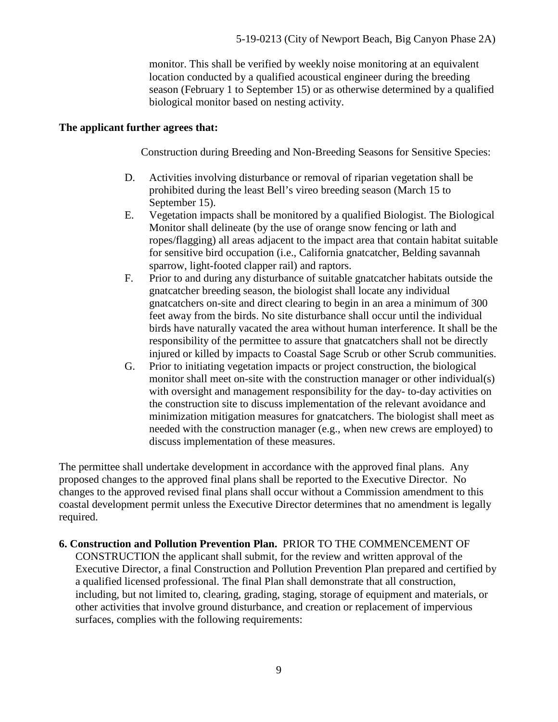monitor. This shall be verified by weekly noise monitoring at an equivalent location conducted by a qualified acoustical engineer during the breeding season (February 1 to September 15) or as otherwise determined by a qualified biological monitor based on nesting activity.

#### **The applicant further agrees that:**

Construction during Breeding and Non-Breeding Seasons for Sensitive Species:

- D. Activities involving disturbance or removal of riparian vegetation shall be prohibited during the least Bell's vireo breeding season (March 15 to September 15).
- E. Vegetation impacts shall be monitored by a qualified Biologist. The Biological Monitor shall delineate (by the use of orange snow fencing or lath and ropes/flagging) all areas adjacent to the impact area that contain habitat suitable for sensitive bird occupation (i.e., California gnatcatcher, Belding savannah sparrow, light-footed clapper rail) and raptors.
- F. Prior to and during any disturbance of suitable gnatcatcher habitats outside the gnatcatcher breeding season, the biologist shall locate any individual gnatcatchers on-site and direct clearing to begin in an area a minimum of 300 feet away from the birds. No site disturbance shall occur until the individual birds have naturally vacated the area without human interference. It shall be the responsibility of the permittee to assure that gnatcatchers shall not be directly injured or killed by impacts to Coastal Sage Scrub or other Scrub communities.
- G. Prior to initiating vegetation impacts or project construction, the biological monitor shall meet on-site with the construction manager or other individual(s) with oversight and management responsibility for the day- to-day activities on the construction site to discuss implementation of the relevant avoidance and minimization mitigation measures for gnatcatchers. The biologist shall meet as needed with the construction manager (e.g., when new crews are employed) to discuss implementation of these measures.

The permittee shall undertake development in accordance with the approved final plans. Any proposed changes to the approved final plans shall be reported to the Executive Director. No changes to the approved revised final plans shall occur without a Commission amendment to this coastal development permit unless the Executive Director determines that no amendment is legally required.

#### **6. Construction and Pollution Prevention Plan.** PRIOR TO THE COMMENCEMENT OF

CONSTRUCTION the applicant shall submit, for the review and written approval of the Executive Director, a final Construction and Pollution Prevention Plan prepared and certified by a qualified licensed professional. The final Plan shall demonstrate that all construction, including, but not limited to, clearing, grading, staging, storage of equipment and materials, or other activities that involve ground disturbance, and creation or replacement of impervious surfaces, complies with the following requirements: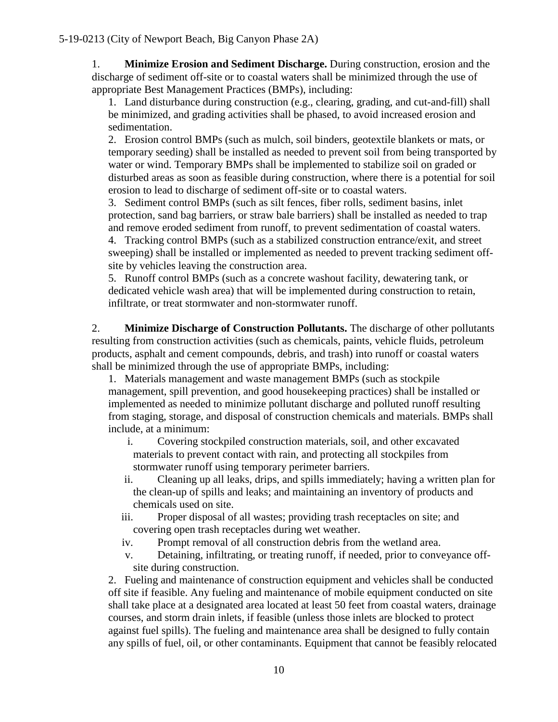1. **Minimize Erosion and Sediment Discharge.** During construction, erosion and the discharge of sediment off-site or to coastal waters shall be minimized through the use of appropriate Best Management Practices (BMPs), including:

1. Land disturbance during construction (e.g., clearing, grading, and cut-and-fill) shall be minimized, and grading activities shall be phased, to avoid increased erosion and sedimentation.

2. Erosion control BMPs (such as mulch, soil binders, geotextile blankets or mats, or temporary seeding) shall be installed as needed to prevent soil from being transported by water or wind. Temporary BMPs shall be implemented to stabilize soil on graded or disturbed areas as soon as feasible during construction, where there is a potential for soil erosion to lead to discharge of sediment off-site or to coastal waters.

3. Sediment control BMPs (such as silt fences, fiber rolls, sediment basins, inlet protection, sand bag barriers, or straw bale barriers) shall be installed as needed to trap and remove eroded sediment from runoff, to prevent sedimentation of coastal waters.

4. Tracking control BMPs (such as a stabilized construction entrance/exit, and street sweeping) shall be installed or implemented as needed to prevent tracking sediment offsite by vehicles leaving the construction area.

5. Runoff control BMPs (such as a concrete washout facility, dewatering tank, or dedicated vehicle wash area) that will be implemented during construction to retain, infiltrate, or treat stormwater and non-stormwater runoff.

2. **Minimize Discharge of Construction Pollutants.** The discharge of other pollutants resulting from construction activities (such as chemicals, paints, vehicle fluids, petroleum products, asphalt and cement compounds, debris, and trash) into runoff or coastal waters shall be minimized through the use of appropriate BMPs, including:

1. Materials management and waste management BMPs (such as stockpile management, spill prevention, and good housekeeping practices) shall be installed or implemented as needed to minimize pollutant discharge and polluted runoff resulting from staging, storage, and disposal of construction chemicals and materials. BMPs shall include, at a minimum:

i. Covering stockpiled construction materials, soil, and other excavated materials to prevent contact with rain, and protecting all stockpiles from stormwater runoff using temporary perimeter barriers.

- ii. Cleaning up all leaks, drips, and spills immediately; having a written plan for the clean-up of spills and leaks; and maintaining an inventory of products and chemicals used on site.
- iii. Proper disposal of all wastes; providing trash receptacles on site; and covering open trash receptacles during wet weather.
- iv. Prompt removal of all construction debris from the wetland area.
- v. Detaining, infiltrating, or treating runoff, if needed, prior to conveyance offsite during construction.

2. Fueling and maintenance of construction equipment and vehicles shall be conducted off site if feasible. Any fueling and maintenance of mobile equipment conducted on site shall take place at a designated area located at least 50 feet from coastal waters, drainage courses, and storm drain inlets, if feasible (unless those inlets are blocked to protect against fuel spills). The fueling and maintenance area shall be designed to fully contain any spills of fuel, oil, or other contaminants. Equipment that cannot be feasibly relocated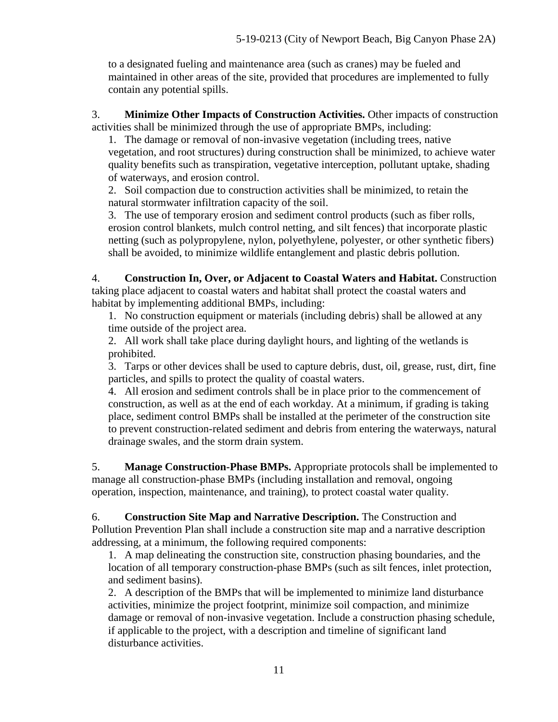to a designated fueling and maintenance area (such as cranes) may be fueled and maintained in other areas of the site, provided that procedures are implemented to fully contain any potential spills.

3. **Minimize Other Impacts of Construction Activities.** Other impacts of construction activities shall be minimized through the use of appropriate BMPs, including:

1. The damage or removal of non-invasive vegetation (including trees, native vegetation, and root structures) during construction shall be minimized, to achieve water quality benefits such as transpiration, vegetative interception, pollutant uptake, shading of waterways, and erosion control.

2. Soil compaction due to construction activities shall be minimized, to retain the natural stormwater infiltration capacity of the soil.

3. The use of temporary erosion and sediment control products (such as fiber rolls, erosion control blankets, mulch control netting, and silt fences) that incorporate plastic netting (such as polypropylene, nylon, polyethylene, polyester, or other synthetic fibers) shall be avoided, to minimize wildlife entanglement and plastic debris pollution.

4. **Construction In, Over, or Adjacent to Coastal Waters and Habitat.** Construction taking place adjacent to coastal waters and habitat shall protect the coastal waters and habitat by implementing additional BMPs, including:

1. No construction equipment or materials (including debris) shall be allowed at any time outside of the project area.

2. All work shall take place during daylight hours, and lighting of the wetlands is prohibited.

3. Tarps or other devices shall be used to capture debris, dust, oil, grease, rust, dirt, fine particles, and spills to protect the quality of coastal waters.

4. All erosion and sediment controls shall be in place prior to the commencement of construction, as well as at the end of each workday. At a minimum, if grading is taking place, sediment control BMPs shall be installed at the perimeter of the construction site to prevent construction-related sediment and debris from entering the waterways, natural drainage swales, and the storm drain system.

5. **Manage Construction-Phase BMPs.** Appropriate protocols shall be implemented to manage all construction-phase BMPs (including installation and removal, ongoing operation, inspection, maintenance, and training), to protect coastal water quality.

6. **Construction Site Map and Narrative Description.** The Construction and Pollution Prevention Plan shall include a construction site map and a narrative description addressing, at a minimum, the following required components:

1. A map delineating the construction site, construction phasing boundaries, and the location of all temporary construction-phase BMPs (such as silt fences, inlet protection, and sediment basins).

2. A description of the BMPs that will be implemented to minimize land disturbance activities, minimize the project footprint, minimize soil compaction, and minimize damage or removal of non-invasive vegetation. Include a construction phasing schedule, if applicable to the project, with a description and timeline of significant land disturbance activities.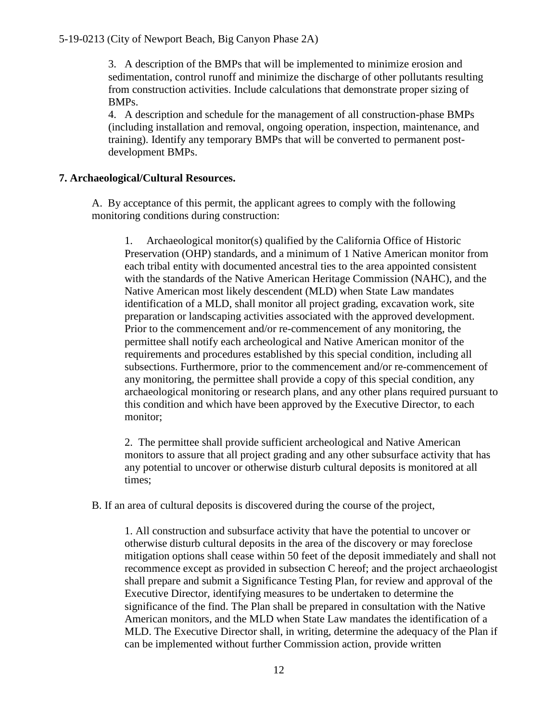3. A description of the BMPs that will be implemented to minimize erosion and sedimentation, control runoff and minimize the discharge of other pollutants resulting from construction activities. Include calculations that demonstrate proper sizing of BMPs.

4. A description and schedule for the management of all construction-phase BMPs (including installation and removal, ongoing operation, inspection, maintenance, and training). Identify any temporary BMPs that will be converted to permanent postdevelopment BMPs.

#### **7. Archaeological/Cultural Resources.**

A. By acceptance of this permit, the applicant agrees to comply with the following monitoring conditions during construction:

1. Archaeological monitor(s) qualified by the California Office of Historic Preservation (OHP) standards, and a minimum of 1 Native American monitor from each tribal entity with documented ancestral ties to the area appointed consistent with the standards of the Native American Heritage Commission (NAHC), and the Native American most likely descendent (MLD) when State Law mandates identification of a MLD, shall monitor all project grading, excavation work, site preparation or landscaping activities associated with the approved development. Prior to the commencement and/or re-commencement of any monitoring, the permittee shall notify each archeological and Native American monitor of the requirements and procedures established by this special condition, including all subsections. Furthermore, prior to the commencement and/or re-commencement of any monitoring, the permittee shall provide a copy of this special condition, any archaeological monitoring or research plans, and any other plans required pursuant to this condition and which have been approved by the Executive Director, to each monitor;

2. The permittee shall provide sufficient archeological and Native American monitors to assure that all project grading and any other subsurface activity that has any potential to uncover or otherwise disturb cultural deposits is monitored at all times;

B. If an area of cultural deposits is discovered during the course of the project,

1. All construction and subsurface activity that have the potential to uncover or otherwise disturb cultural deposits in the area of the discovery or may foreclose mitigation options shall cease within 50 feet of the deposit immediately and shall not recommence except as provided in subsection C hereof; and the project archaeologist shall prepare and submit a Significance Testing Plan, for review and approval of the Executive Director, identifying measures to be undertaken to determine the significance of the find. The Plan shall be prepared in consultation with the Native American monitors, and the MLD when State Law mandates the identification of a MLD. The Executive Director shall, in writing, determine the adequacy of the Plan if can be implemented without further Commission action, provide written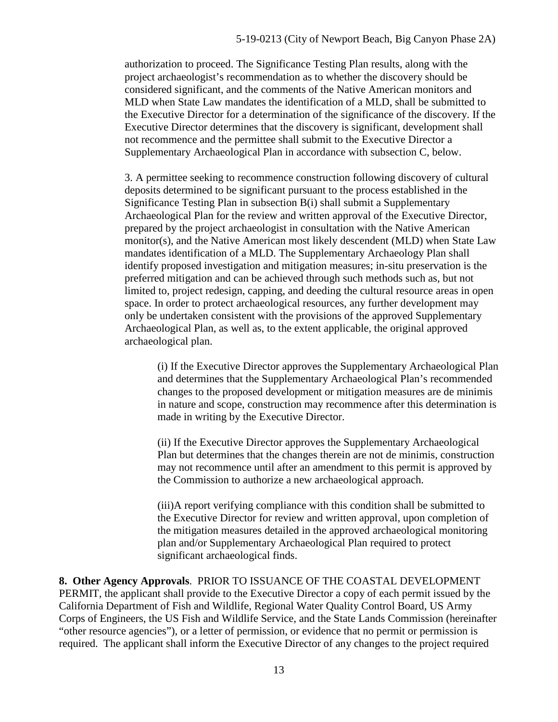authorization to proceed. The Significance Testing Plan results, along with the project archaeologist's recommendation as to whether the discovery should be considered significant, and the comments of the Native American monitors and MLD when State Law mandates the identification of a MLD, shall be submitted to the Executive Director for a determination of the significance of the discovery. If the Executive Director determines that the discovery is significant, development shall not recommence and the permittee shall submit to the Executive Director a Supplementary Archaeological Plan in accordance with subsection C, below.

3. A permittee seeking to recommence construction following discovery of cultural deposits determined to be significant pursuant to the process established in the Significance Testing Plan in subsection B(i) shall submit a Supplementary Archaeological Plan for the review and written approval of the Executive Director, prepared by the project archaeologist in consultation with the Native American monitor(s), and the Native American most likely descendent (MLD) when State Law mandates identification of a MLD. The Supplementary Archaeology Plan shall identify proposed investigation and mitigation measures; in-situ preservation is the preferred mitigation and can be achieved through such methods such as, but not limited to, project redesign, capping, and deeding the cultural resource areas in open space. In order to protect archaeological resources, any further development may only be undertaken consistent with the provisions of the approved Supplementary Archaeological Plan, as well as, to the extent applicable, the original approved archaeological plan.

(i) If the Executive Director approves the Supplementary Archaeological Plan and determines that the Supplementary Archaeological Plan's recommended changes to the proposed development or mitigation measures are de minimis in nature and scope, construction may recommence after this determination is made in writing by the Executive Director.

(ii) If the Executive Director approves the Supplementary Archaeological Plan but determines that the changes therein are not de minimis, construction may not recommence until after an amendment to this permit is approved by the Commission to authorize a new archaeological approach.

(iii)A report verifying compliance with this condition shall be submitted to the Executive Director for review and written approval, upon completion of the mitigation measures detailed in the approved archaeological monitoring plan and/or Supplementary Archaeological Plan required to protect significant archaeological finds.

**8. Other Agency Approvals**. PRIOR TO ISSUANCE OF THE COASTAL DEVELOPMENT PERMIT, the applicant shall provide to the Executive Director a copy of each permit issued by the California Department of Fish and Wildlife, Regional Water Quality Control Board, US Army Corps of Engineers, the US Fish and Wildlife Service, and the State Lands Commission (hereinafter "other resource agencies"), or a letter of permission, or evidence that no permit or permission is required. The applicant shall inform the Executive Director of any changes to the project required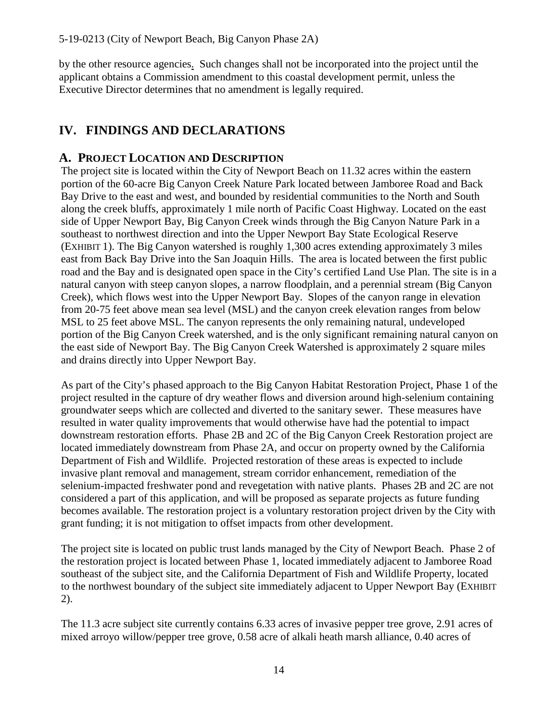by the other resource agencies. Such changes shall not be incorporated into the project until the applicant obtains a Commission amendment to this coastal development permit, unless the Executive Director determines that no amendment is legally required.

# <span id="page-13-0"></span>**IV. FINDINGS AND DECLARATIONS**

### <span id="page-13-1"></span>**A. PROJECT LOCATION AND DESCRIPTION**

The project site is located within the City of Newport Beach on 11.32 acres within the eastern portion of the 60-acre Big Canyon Creek Nature Park located between Jamboree Road and Back Bay Drive to the east and west, and bounded by residential communities to the North and South along the creek bluffs, approximately 1 mile north of Pacific Coast Highway. Located on the east side of Upper Newport Bay, Big Canyon Creek winds through the Big Canyon Nature Park in a southeast to northwest direction and into the Upper Newport Bay State Ecological Reserve [\(EXHIBIT 1\)](https://documents.coastal.ca.gov/reports/2019/9/w26e/w26e-9-2019-exhibits.pdf). The Big Canyon watershed is roughly 1,300 acres extending approximately 3 miles east from Back Bay Drive into the San Joaquin Hills. The area is located between the first public road and the Bay and is designated open space in the City's certified Land Use Plan. The site is in a natural canyon with steep canyon slopes, a narrow floodplain, and a perennial stream (Big Canyon Creek), which flows west into the Upper Newport Bay. Slopes of the canyon range in elevation from 20-75 feet above mean sea level (MSL) and the canyon creek elevation ranges from below MSL to 25 feet above MSL. The canyon represents the only remaining natural, undeveloped portion of the Big Canyon Creek watershed, and is the only significant remaining natural canyon on the east side of Newport Bay. The Big Canyon Creek Watershed is approximately 2 square miles and drains directly into Upper Newport Bay.

As part of the City's phased approach to the Big Canyon Habitat Restoration Project, Phase 1 of the project resulted in the capture of dry weather flows and diversion around high-selenium containing groundwater seeps which are collected and diverted to the sanitary sewer. These measures have resulted in water quality improvements that would otherwise have had the potential to impact downstream restoration efforts. Phase 2B and 2C of the Big Canyon Creek Restoration project are located immediately downstream from Phase 2A, and occur on property owned by the California Department of Fish and Wildlife. Projected restoration of these areas is expected to include invasive plant removal and management, stream corridor enhancement, remediation of the selenium-impacted freshwater pond and revegetation with native plants. Phases 2B and 2C are not considered a part of this application, and will be proposed as separate projects as future funding becomes available. The restoration project is a voluntary restoration project driven by the City with grant funding; it is not mitigation to offset impacts from other development.

The project site is located on public trust lands managed by the City of Newport Beach. Phase 2 of the restoration project is located between Phase 1, located immediately adjacent to Jamboree Road southeast of the subject site, and the California Department of Fish and Wildlife Property, located to the northwest boundary of the subject site immediately adjacent to Upper Newport Bay [\(EXHIBIT](https://documents.coastal.ca.gov/reports/2019/9/w26e/w26e-9-2019-exhibits.pdf)  [2\)](https://documents.coastal.ca.gov/reports/2019/9/w26e/w26e-9-2019-exhibits.pdf).

The 11.3 acre subject site currently contains 6.33 acres of invasive pepper tree grove, 2.91 acres of mixed arroyo willow/pepper tree grove, 0.58 acre of alkali heath marsh alliance, 0.40 acres of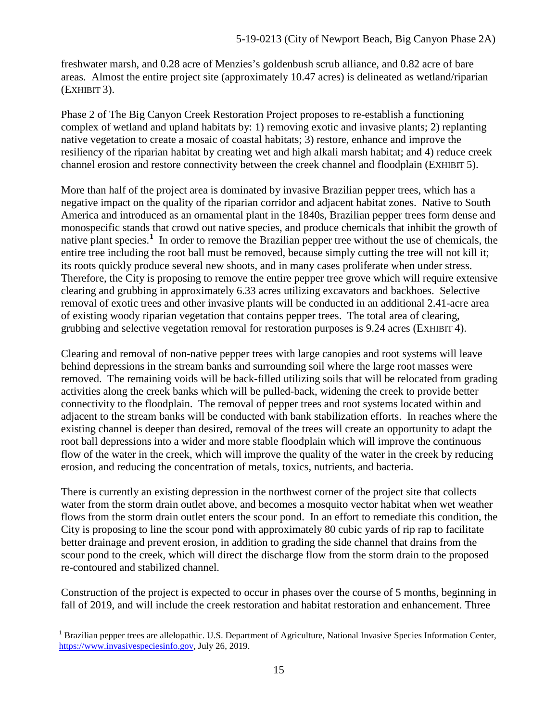freshwater marsh, and 0.28 acre of Menzies's goldenbush scrub alliance, and 0.82 acre of bare areas. Almost the entire project site (approximately 10.47 acres) is delineated as wetland/riparian [\(EXHIBIT 3\)](https://documents.coastal.ca.gov/reports/2019/9/w26e/w26e-9-2019-exhibits.pdf).

Phase 2 of The Big Canyon Creek Restoration Project proposes to re-establish a functioning complex of wetland and upland habitats by: 1) removing exotic and invasive plants; 2) replanting native vegetation to create a mosaic of coastal habitats; 3) restore, enhance and improve the resiliency of the riparian habitat by creating wet and high alkali marsh habitat; and 4) reduce creek channel erosion and restore connectivity between the creek channel and floodplain [\(EXHIBIT 5\)](https://documents.coastal.ca.gov/reports/2019/9/w26e/w26e-9-2019-exhibits.pdf).

More than half of the project area is dominated by invasive Brazilian pepper trees, which has a negative impact on the quality of the riparian corridor and adjacent habitat zones. Native to South America and introduced as an ornamental plant in the 1840s, Brazilian pepper trees form dense and monospecific stands that crowd out native species, and produce chemicals that inhibit the growth of native plant species.**[1](#page-14-0)** In order to remove the Brazilian pepper tree without the use of chemicals, the entire tree including the root ball must be removed, because simply cutting the tree will not kill it; its roots quickly produce several new shoots, and in many cases proliferate when under stress. Therefore, the City is proposing to remove the entire pepper tree grove which will require extensive clearing and grubbing in approximately 6.33 acres utilizing excavators and backhoes. Selective removal of exotic trees and other invasive plants will be conducted in an additional 2.41-acre area of existing woody riparian vegetation that contains pepper trees. The total area of clearing, grubbing and selective vegetation removal for restoration purposes is 9.24 acres [\(EXHIBIT 4\)](https://documents.coastal.ca.gov/reports/2019/9/w26e/w26e-9-2019-exhibits.pdf).

Clearing and removal of non-native pepper trees with large canopies and root systems will leave behind depressions in the stream banks and surrounding soil where the large root masses were removed. The remaining voids will be back-filled utilizing soils that will be relocated from grading activities along the creek banks which will be pulled-back, widening the creek to provide better connectivity to the floodplain. The removal of pepper trees and root systems located within and adjacent to the stream banks will be conducted with bank stabilization efforts. In reaches where the existing channel is deeper than desired, removal of the trees will create an opportunity to adapt the root ball depressions into a wider and more stable floodplain which will improve the continuous flow of the water in the creek, which will improve the quality of the water in the creek by reducing erosion, and reducing the concentration of metals, toxics, nutrients, and bacteria.

There is currently an existing depression in the northwest corner of the project site that collects water from the storm drain outlet above, and becomes a mosquito vector habitat when wet weather flows from the storm drain outlet enters the scour pond. In an effort to remediate this condition, the City is proposing to line the scour pond with approximately 80 cubic yards of rip rap to facilitate better drainage and prevent erosion, in addition to grading the side channel that drains from the scour pond to the creek, which will direct the discharge flow from the storm drain to the proposed re-contoured and stabilized channel.

Construction of the project is expected to occur in phases over the course of 5 months, beginning in fall of 2019, and will include the creek restoration and habitat restoration and enhancement. Three

<span id="page-14-0"></span> $\overline{a}$  $<sup>1</sup>$  Brazilian pepper trees are allelopathic. U.S. Department of Agriculture, National Invasive Species Information Center,</sup> [https://www.invasivespeciesinfo.gov,](https://www.invasivespeciesinfo.gov/) July 26, 2019.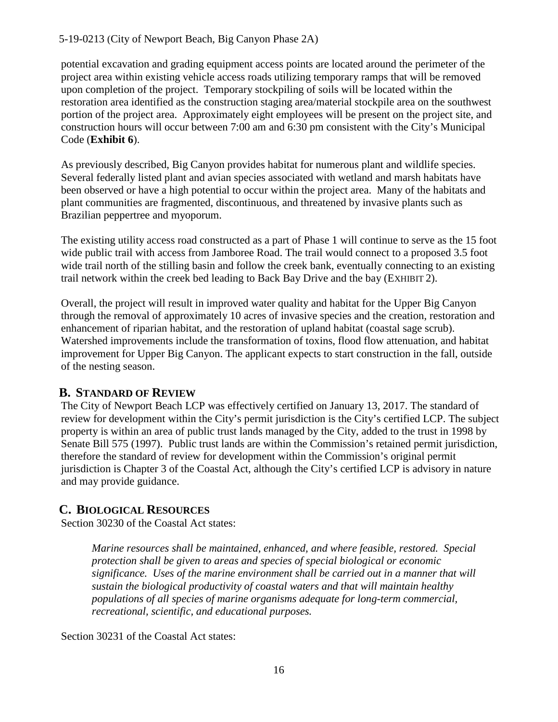potential excavation and grading equipment access points are located around the perimeter of the project area within existing vehicle access roads utilizing temporary ramps that will be removed upon completion of the project. Temporary stockpiling of soils will be located within the restoration area identified as the construction staging area/material stockpile area on the southwest portion of the project area. Approximately eight employees will be present on the project site, and construction hours will occur between 7:00 am and 6:30 pm consistent with the City's Municipal Code (**[Exhibit 6](https://documents.coastal.ca.gov/reports/2019/9/w26e/w26e-9-2019-exhibits.pdf)**).

As previously described, Big Canyon provides habitat for numerous plant and wildlife species. Several federally listed plant and avian species associated with wetland and marsh habitats have been observed or have a high potential to occur within the project area. Many of the habitats and plant communities are fragmented, discontinuous, and threatened by invasive plants such as Brazilian peppertree and myoporum.

The existing utility access road constructed as a part of Phase 1 will continue to serve as the 15 foot wide public trail with access from Jamboree Road. The trail would connect to a proposed 3.5 foot wide trail north of the stilling basin and follow the creek bank, eventually connecting to an existing trail network within the creek bed leading to Back Bay Drive and the bay [\(EXHIBIT 2\)](https://documents.coastal.ca.gov/reports/2019/9/w26e/w26e-9-2019-exhibits.pdf).

Overall, the project will result in improved water quality and habitat for the Upper Big Canyon through the removal of approximately 10 acres of invasive species and the creation, restoration and enhancement of riparian habitat, and the restoration of upland habitat (coastal sage scrub). Watershed improvements include the transformation of toxins, flood flow attenuation, and habitat improvement for Upper Big Canyon. The applicant expects to start construction in the fall, outside of the nesting season.

# <span id="page-15-0"></span>**B. STANDARD OF REVIEW**

The City of Newport Beach LCP was effectively certified on January 13, 2017. The standard of review for development within the City's permit jurisdiction is the City's certified LCP. The subject property is within an area of public trust lands managed by the City, added to the trust in 1998 by Senate Bill 575 (1997). Public trust lands are within the Commission's retained permit jurisdiction, therefore the standard of review for development within the Commission's original permit jurisdiction is Chapter 3 of the Coastal Act, although the City's certified LCP is advisory in nature and may provide guidance.

# <span id="page-15-1"></span>**C. BIOLOGICAL RESOURCES**

Section 30230 of the Coastal Act states:

*Marine resources shall be maintained, enhanced, and where feasible, restored. Special protection shall be given to areas and species of special biological or economic significance. Uses of the marine environment shall be carried out in a manner that will sustain the biological productivity of coastal waters and that will maintain healthy populations of all species of marine organisms adequate for long-term commercial, recreational, scientific, and educational purposes.*

Section 30231 of the Coastal Act states: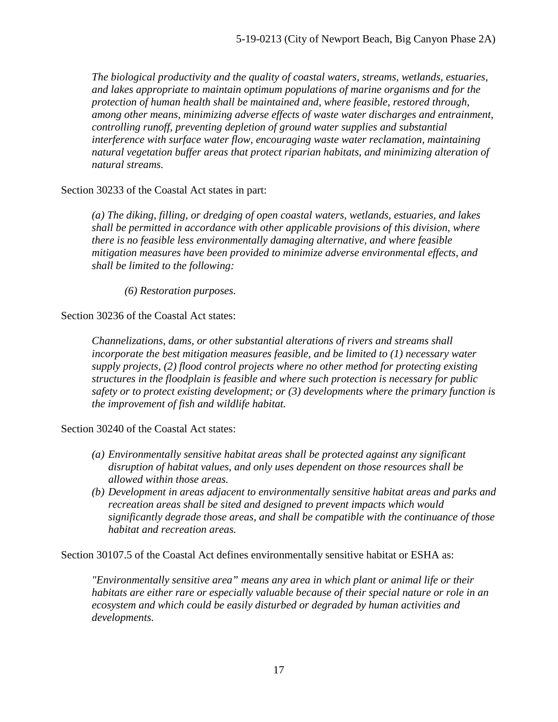*The biological productivity and the quality of coastal waters, streams, wetlands, estuaries, and lakes appropriate to maintain optimum populations of marine organisms and for the protection of human health shall be maintained and, where feasible, restored through, among other means, minimizing adverse effects of waste water discharges and entrainment, controlling runoff, preventing depletion of ground water supplies and substantial interference with surface water flow, encouraging waste water reclamation, maintaining natural vegetation buffer areas that protect riparian habitats, and minimizing alteration of natural streams.*

Section 30233 of the Coastal Act states in part:

*(a) The diking, filling, or dredging of open coastal waters, wetlands, estuaries, and lakes shall be permitted in accordance with other applicable provisions of this division, where there is no feasible less environmentally damaging alternative, and where feasible mitigation measures have been provided to minimize adverse environmental effects, and shall be limited to the following:* 

 *(6) Restoration purposes.* 

Section 30236 of the Coastal Act states:

*Channelizations, dams, or other substantial alterations of rivers and streams shall incorporate the best mitigation measures feasible, and be limited to (1) necessary water supply projects, (2) flood control projects where no other method for protecting existing structures in the floodplain is feasible and where such protection is necessary for public safety or to protect existing development; or (3) developments where the primary function is the improvement of fish and wildlife habitat.*

Section 30240 of the Coastal Act states:

- *(a) Environmentally sensitive habitat areas shall be protected against any significant disruption of habitat values, and only uses dependent on those resources shall be allowed within those areas.*
- *(b) Development in areas adjacent to environmentally sensitive habitat areas and parks and recreation areas shall be sited and designed to prevent impacts which would significantly degrade those areas, and shall be compatible with the continuance of those habitat and recreation areas.*

Section 30107.5 of the Coastal Act defines environmentally sensitive habitat or ESHA as:

*"Environmentally sensitive area" means any area in which plant or animal life or their habitats are either rare or especially valuable because of their special nature or role in an ecosystem and which could be easily disturbed or degraded by human activities and developments.*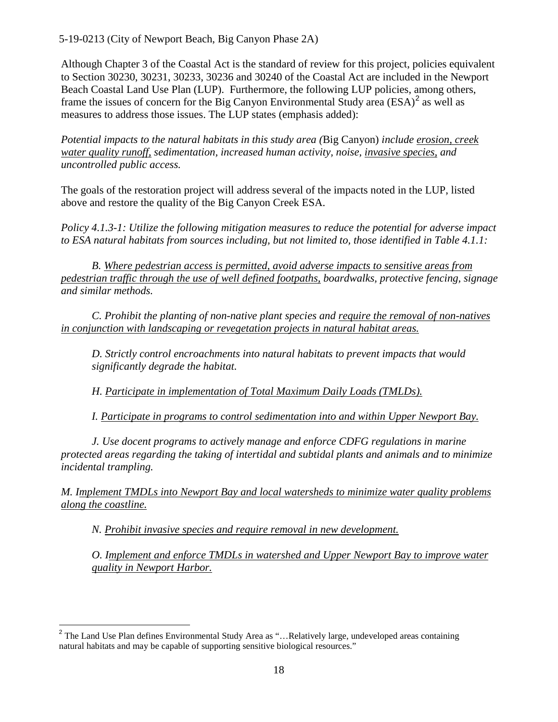Although Chapter 3 of the Coastal Act is the standard of review for this project, policies equivalent to Section 30230, 30231, 30233, 30236 and 30240 of the Coastal Act are included in the Newport Beach Coastal Land Use Plan (LUP). Furthermore, the following LUP policies, among others, frame the issues of concern for the Big Canyon Environmental Study area  $(ESA)^2$  $(ESA)^2$  as well as measures to address those issues. The LUP states (emphasis added):

*Potential impacts to the natural habitats in this study area (*Big Canyon) *include erosion, creek water quality runoff, sedimentation, increased human activity, noise, invasive species, and uncontrolled public access.* 

The goals of the restoration project will address several of the impacts noted in the LUP, listed above and restore the quality of the Big Canyon Creek ESA.

*Policy 4.1.3-1: Utilize the following mitigation measures to reduce the potential for adverse impact to ESA natural habitats from sources including, but not limited to, those identified in Table 4.1.1:* 

 *B. Where pedestrian access is permitted, avoid adverse impacts to sensitive areas from pedestrian traffic through the use of well defined footpaths, boardwalks, protective fencing, signage and similar methods.* 

 *C. Prohibit the planting of non-native plant species and require the removal of non-natives in conjunction with landscaping or revegetation projects in natural habitat areas.* 

 *D. Strictly control encroachments into natural habitats to prevent impacts that would significantly degrade the habitat.* 

*H. Participate in implementation of Total Maximum Daily Loads (TMLDs).* 

*I. Participate in programs to control sedimentation into and within Upper Newport Bay.* 

 *J. Use docent programs to actively manage and enforce CDFG regulations in marine protected areas regarding the taking of intertidal and subtidal plants and animals and to minimize incidental trampling.* 

*M. Implement TMDLs into Newport Bay and local watersheds to minimize water quality problems along the coastline.* 

 *N. Prohibit invasive species and require removal in new development.* 

*O. Implement and enforce TMDLs in watershed and Upper Newport Bay to improve water quality in Newport Harbor.* 

<span id="page-17-0"></span> $\overline{\phantom{a}}$ <sup>2</sup> The Land Use Plan defines Environmental Study Area as "...Relatively large, undeveloped areas containing natural habitats and may be capable of supporting sensitive biological resources."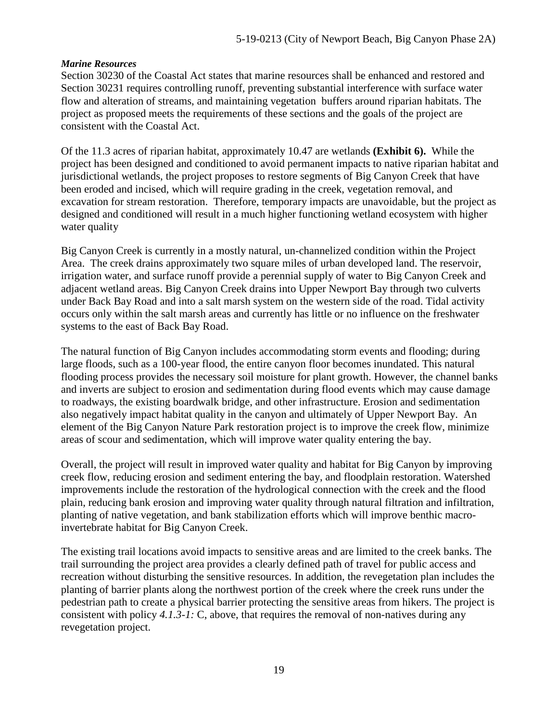#### *Marine Resources*

Section 30230 of the Coastal Act states that marine resources shall be enhanced and restored and Section 30231 requires controlling runoff, preventing substantial interference with surface water flow and alteration of streams, and maintaining vegetation buffers around riparian habitats. The project as proposed meets the requirements of these sections and the goals of the project are consistent with the Coastal Act.

Of the 11.3 acres of riparian habitat, approximately 10.47 are wetlands **[\(Exhibit 6\)](https://documents.coastal.ca.gov/reports/2019/9/w26e/w26e-9-2019-exhibits.pdf).** While the project has been designed and conditioned to avoid permanent impacts to native riparian habitat and jurisdictional wetlands, the project proposes to restore segments of Big Canyon Creek that have been eroded and incised, which will require grading in the creek, vegetation removal, and excavation for stream restoration. Therefore, temporary impacts are unavoidable, but the project as designed and conditioned will result in a much higher functioning wetland ecosystem with higher water quality

Big Canyon Creek is currently in a mostly natural, un-channelized condition within the Project Area. The creek drains approximately two square miles of urban developed land. The reservoir, irrigation water, and surface runoff provide a perennial supply of water to Big Canyon Creek and adjacent wetland areas. Big Canyon Creek drains into Upper Newport Bay through two culverts under Back Bay Road and into a salt marsh system on the western side of the road. Tidal activity occurs only within the salt marsh areas and currently has little or no influence on the freshwater systems to the east of Back Bay Road.

The natural function of Big Canyon includes accommodating storm events and flooding; during large floods, such as a 100-year flood, the entire canyon floor becomes inundated. This natural flooding process provides the necessary soil moisture for plant growth. However, the channel banks and inverts are subject to erosion and sedimentation during flood events which may cause damage to roadways, the existing boardwalk bridge, and other infrastructure. Erosion and sedimentation also negatively impact habitat quality in the canyon and ultimately of Upper Newport Bay. An element of the Big Canyon Nature Park restoration project is to improve the creek flow, minimize areas of scour and sedimentation, which will improve water quality entering the bay.

Overall, the project will result in improved water quality and habitat for Big Canyon by improving creek flow, reducing erosion and sediment entering the bay, and floodplain restoration. Watershed improvements include the restoration of the hydrological connection with the creek and the flood plain, reducing bank erosion and improving water quality through natural filtration and infiltration, planting of native vegetation, and bank stabilization efforts which will improve benthic macroinvertebrate habitat for Big Canyon Creek.

The existing trail locations avoid impacts to sensitive areas and are limited to the creek banks. The trail surrounding the project area provides a clearly defined path of travel for public access and recreation without disturbing the sensitive resources. In addition, the revegetation plan includes the planting of barrier plants along the northwest portion of the creek where the creek runs under the pedestrian path to create a physical barrier protecting the sensitive areas from hikers. The project is consistent with policy *4.1.3-1:* C, above, that requires the removal of non-natives during any revegetation project.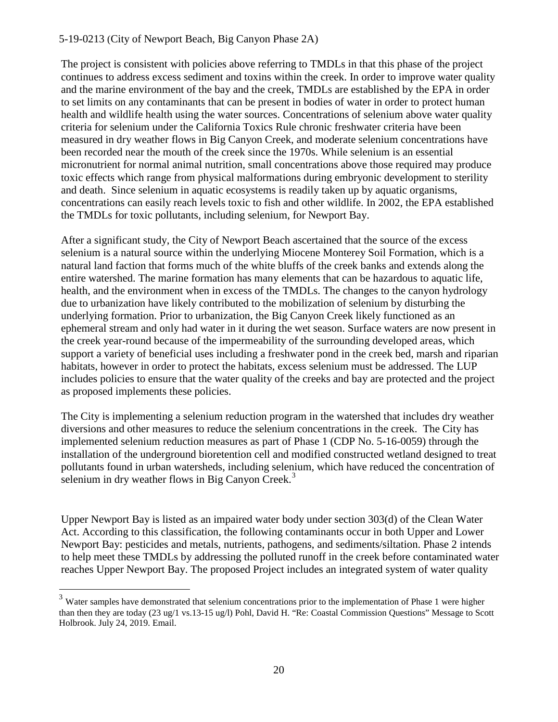The project is consistent with policies above referring to TMDLs in that this phase of the project continues to address excess sediment and toxins within the creek. In order to improve water quality and the marine environment of the bay and the creek, TMDLs are established by the EPA in order to set limits on any contaminants that can be present in bodies of water in order to protect human health and wildlife health using the water sources. Concentrations of selenium above water quality criteria for selenium under the California Toxics Rule chronic freshwater criteria have been measured in dry weather flows in Big Canyon Creek, and moderate selenium concentrations have been recorded near the mouth of the creek since the 1970s. While selenium is an essential micronutrient for normal animal nutrition, small concentrations above those required may produce toxic effects which range from physical malformations during embryonic development to sterility and death. Since selenium in aquatic ecosystems is readily taken up by aquatic organisms, concentrations can easily reach levels toxic to fish and other wildlife. In 2002, the EPA established the TMDLs for toxic pollutants, including selenium, for Newport Bay.

After a significant study, the City of Newport Beach ascertained that the source of the excess selenium is a natural source within the underlying Miocene Monterey Soil Formation, which is a natural land faction that forms much of the white bluffs of the creek banks and extends along the entire watershed. The marine formation has many elements that can be hazardous to aquatic life, health, and the environment when in excess of the TMDLs. The changes to the canyon hydrology due to urbanization have likely contributed to the mobilization of selenium by disturbing the underlying formation. Prior to urbanization, the Big Canyon Creek likely functioned as an ephemeral stream and only had water in it during the wet season. Surface waters are now present in the creek year-round because of the impermeability of the surrounding developed areas, which support a variety of beneficial uses including a freshwater pond in the creek bed, marsh and riparian habitats, however in order to protect the habitats, excess selenium must be addressed. The LUP includes policies to ensure that the water quality of the creeks and bay are protected and the project as proposed implements these policies.

The City is implementing a selenium reduction program in the watershed that includes dry weather diversions and other measures to reduce the selenium concentrations in the creek. The City has implemented selenium reduction measures as part of Phase 1 (CDP No. 5-16-0059) through the installation of the underground bioretention cell and modified constructed wetland designed to treat pollutants found in urban watersheds, including selenium, which have reduced the concentration of selenium in dry weather flows in Big Canyon Creek. $3$ 

Upper Newport Bay is listed as an impaired water body under section 303(d) of the Clean Water Act. According to this classification, the following contaminants occur in both Upper and Lower Newport Bay: pesticides and metals, nutrients, pathogens, and sediments/siltation. Phase 2 intends to help meet these TMDLs by addressing the polluted runoff in the creek before contaminated water reaches Upper Newport Bay. The proposed Project includes an integrated system of water quality

 $\overline{a}$ 

<span id="page-19-0"></span> $3$  Water samples have demonstrated that selenium concentrations prior to the implementation of Phase 1 were higher than then they are today (23 ug/1 vs.13-15 ug/l) Pohl, David H. "Re: Coastal Commission Questions" Message to Scott Holbrook. July 24, 2019. Email.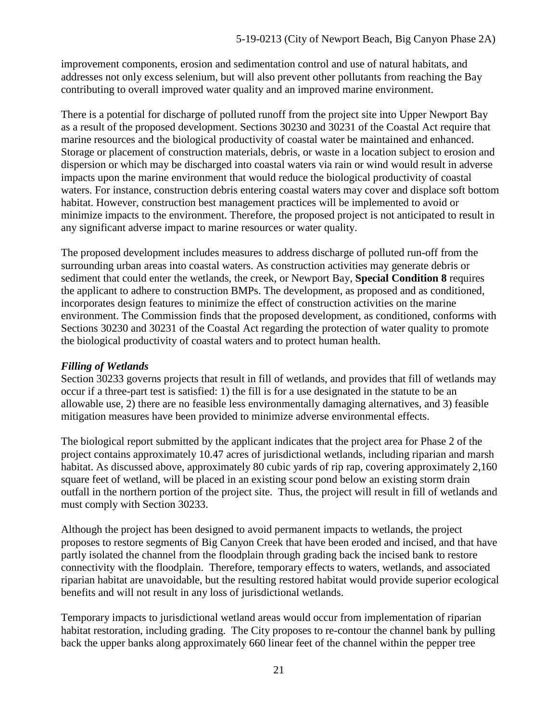improvement components, erosion and sedimentation control and use of natural habitats, and addresses not only excess selenium, but will also prevent other pollutants from reaching the Bay contributing to overall improved water quality and an improved marine environment.

There is a potential for discharge of polluted runoff from the project site into Upper Newport Bay as a result of the proposed development. Sections 30230 and 30231 of the Coastal Act require that marine resources and the biological productivity of coastal water be maintained and enhanced. Storage or placement of construction materials, debris, or waste in a location subject to erosion and dispersion or which may be discharged into coastal waters via rain or wind would result in adverse impacts upon the marine environment that would reduce the biological productivity of coastal waters. For instance, construction debris entering coastal waters may cover and displace soft bottom habitat. However, construction best management practices will be implemented to avoid or minimize impacts to the environment. Therefore, the proposed project is not anticipated to result in any significant adverse impact to marine resources or water quality.

The proposed development includes measures to address discharge of polluted run-off from the surrounding urban areas into coastal waters. As construction activities may generate debris or sediment that could enter the wetlands, the creek, or Newport Bay, **Special Condition 8** requires the applicant to adhere to construction BMPs. The development, as proposed and as conditioned, incorporates design features to minimize the effect of construction activities on the marine environment. The Commission finds that the proposed development, as conditioned, conforms with Sections 30230 and 30231 of the Coastal Act regarding the protection of water quality to promote the biological productivity of coastal waters and to protect human health.

#### *Filling of Wetlands*

Section 30233 governs projects that result in fill of wetlands, and provides that fill of wetlands may occur if a three-part test is satisfied: 1) the fill is for a use designated in the statute to be an allowable use, 2) there are no feasible less environmentally damaging alternatives, and 3) feasible mitigation measures have been provided to minimize adverse environmental effects.

The biological report submitted by the applicant indicates that the project area for Phase 2 of the project contains approximately 10.47 acres of jurisdictional wetlands, including riparian and marsh habitat. As discussed above, approximately 80 cubic yards of rip rap, covering approximately 2,160 square feet of wetland, will be placed in an existing scour pond below an existing storm drain outfall in the northern portion of the project site. Thus, the project will result in fill of wetlands and must comply with Section 30233.

Although the project has been designed to avoid permanent impacts to wetlands, the project proposes to restore segments of Big Canyon Creek that have been eroded and incised, and that have partly isolated the channel from the floodplain through grading back the incised bank to restore connectivity with the floodplain. Therefore, temporary effects to waters, wetlands, and associated riparian habitat are unavoidable, but the resulting restored habitat would provide superior ecological benefits and will not result in any loss of jurisdictional wetlands.

Temporary impacts to jurisdictional wetland areas would occur from implementation of riparian habitat restoration, including grading. The City proposes to re-contour the channel bank by pulling back the upper banks along approximately 660 linear feet of the channel within the pepper tree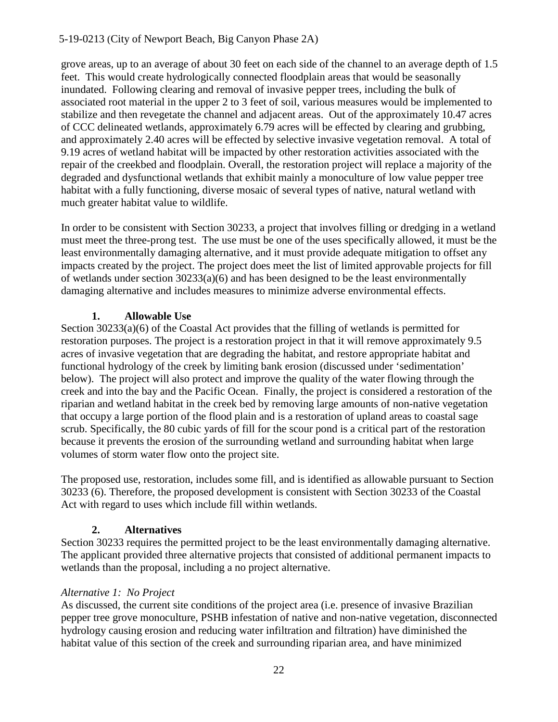grove areas, up to an average of about 30 feet on each side of the channel to an average depth of 1.5 feet. This would create hydrologically connected floodplain areas that would be seasonally inundated. Following clearing and removal of invasive pepper trees, including the bulk of associated root material in the upper 2 to 3 feet of soil, various measures would be implemented to stabilize and then revegetate the channel and adjacent areas. Out of the approximately 10.47 acres of CCC delineated wetlands, approximately 6.79 acres will be effected by clearing and grubbing, and approximately 2.40 acres will be effected by selective invasive vegetation removal. A total of 9.19 acres of wetland habitat will be impacted by other restoration activities associated with the repair of the creekbed and floodplain. Overall, the restoration project will replace a majority of the degraded and dysfunctional wetlands that exhibit mainly a monoculture of low value pepper tree habitat with a fully functioning, diverse mosaic of several types of native, natural wetland with much greater habitat value to wildlife.

In order to be consistent with Section 30233, a project that involves filling or dredging in a wetland must meet the three-prong test. The use must be one of the uses specifically allowed, it must be the least environmentally damaging alternative, and it must provide adequate mitigation to offset any impacts created by the project. The project does meet the list of limited approvable projects for fill of wetlands under section 30233(a)(6) and has been designed to be the least environmentally damaging alternative and includes measures to minimize adverse environmental effects.

#### **1. Allowable Use**

Section 30233(a)(6) of the Coastal Act provides that the filling of wetlands is permitted for restoration purposes. The project is a restoration project in that it will remove approximately 9.5 acres of invasive vegetation that are degrading the habitat, and restore appropriate habitat and functional hydrology of the creek by limiting bank erosion (discussed under 'sedimentation' below). The project will also protect and improve the quality of the water flowing through the creek and into the bay and the Pacific Ocean. Finally, the project is considered a restoration of the riparian and wetland habitat in the creek bed by removing large amounts of non-native vegetation that occupy a large portion of the flood plain and is a restoration of upland areas to coastal sage scrub. Specifically, the 80 cubic yards of fill for the scour pond is a critical part of the restoration because it prevents the erosion of the surrounding wetland and surrounding habitat when large volumes of storm water flow onto the project site.

The proposed use, restoration, includes some fill, and is identified as allowable pursuant to Section 30233 (6). Therefore, the proposed development is consistent with Section 30233 of the Coastal Act with regard to uses which include fill within wetlands.

#### **2. Alternatives**

Section 30233 requires the permitted project to be the least environmentally damaging alternative. The applicant provided three alternative projects that consisted of additional permanent impacts to wetlands than the proposal, including a no project alternative.

#### *Alternative 1: No Project*

As discussed, the current site conditions of the project area (i.e. presence of invasive Brazilian pepper tree grove monoculture, PSHB infestation of native and non-native vegetation, disconnected hydrology causing erosion and reducing water infiltration and filtration) have diminished the habitat value of this section of the creek and surrounding riparian area, and have minimized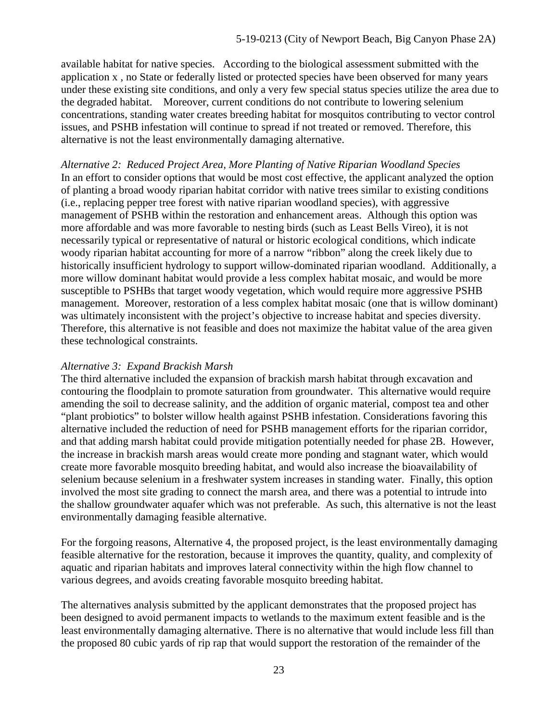available habitat for native species. According to the biological assessment submitted with the application x , no State or federally listed or protected species have been observed for many years under these existing site conditions, and only a very few special status species utilize the area due to the degraded habitat. Moreover, current conditions do not contribute to lowering selenium concentrations, standing water creates breeding habitat for mosquitos contributing to vector control issues, and PSHB infestation will continue to spread if not treated or removed. Therefore, this alternative is not the least environmentally damaging alternative.

*Alternative 2: Reduced Project Area, More Planting of Native Riparian Woodland Species*  In an effort to consider options that would be most cost effective, the applicant analyzed the option of planting a broad woody riparian habitat corridor with native trees similar to existing conditions (i.e., replacing pepper tree forest with native riparian woodland species), with aggressive management of PSHB within the restoration and enhancement areas. Although this option was more affordable and was more favorable to nesting birds (such as Least Bells Vireo), it is not necessarily typical or representative of natural or historic ecological conditions, which indicate woody riparian habitat accounting for more of a narrow "ribbon" along the creek likely due to historically insufficient hydrology to support willow-dominated riparian woodland. Additionally, a more willow dominant habitat would provide a less complex habitat mosaic, and would be more susceptible to PSHBs that target woody vegetation, which would require more aggressive PSHB management. Moreover, restoration of a less complex habitat mosaic (one that is willow dominant) was ultimately inconsistent with the project's objective to increase habitat and species diversity. Therefore, this alternative is not feasible and does not maximize the habitat value of the area given these technological constraints.

#### *Alternative 3: Expand Brackish Marsh*

The third alternative included the expansion of brackish marsh habitat through excavation and contouring the floodplain to promote saturation from groundwater. This alternative would require amending the soil to decrease salinity, and the addition of organic material, compost tea and other "plant probiotics" to bolster willow health against PSHB infestation. Considerations favoring this alternative included the reduction of need for PSHB management efforts for the riparian corridor, and that adding marsh habitat could provide mitigation potentially needed for phase 2B. However, the increase in brackish marsh areas would create more ponding and stagnant water, which would create more favorable mosquito breeding habitat, and would also increase the bioavailability of selenium because selenium in a freshwater system increases in standing water. Finally, this option involved the most site grading to connect the marsh area, and there was a potential to intrude into the shallow groundwater aquafer which was not preferable. As such, this alternative is not the least environmentally damaging feasible alternative.

For the forgoing reasons, Alternative 4, the proposed project, is the least environmentally damaging feasible alternative for the restoration, because it improves the quantity, quality, and complexity of aquatic and riparian habitats and improves lateral connectivity within the high flow channel to various degrees, and avoids creating favorable mosquito breeding habitat.

The alternatives analysis submitted by the applicant demonstrates that the proposed project has been designed to avoid permanent impacts to wetlands to the maximum extent feasible and is the least environmentally damaging alternative. There is no alternative that would include less fill than the proposed 80 cubic yards of rip rap that would support the restoration of the remainder of the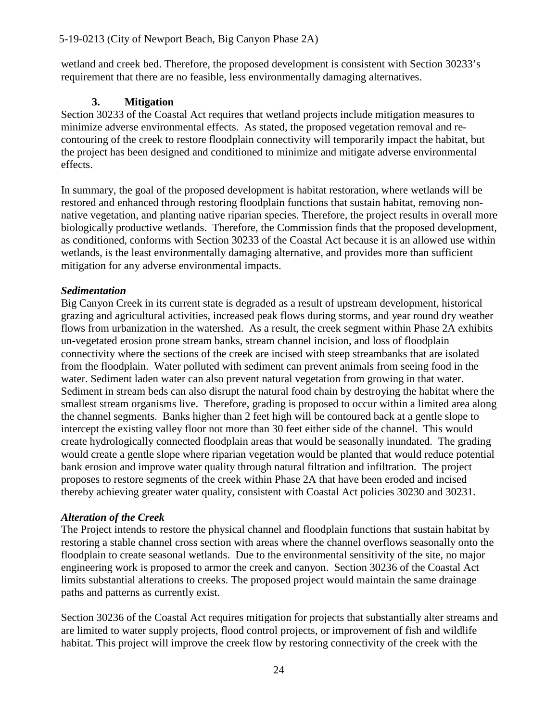wetland and creek bed. Therefore, the proposed development is consistent with Section 30233's requirement that there are no feasible, less environmentally damaging alternatives.

#### **3. Mitigation**

Section 30233 of the Coastal Act requires that wetland projects include mitigation measures to minimize adverse environmental effects. As stated, the proposed vegetation removal and recontouring of the creek to restore floodplain connectivity will temporarily impact the habitat, but the project has been designed and conditioned to minimize and mitigate adverse environmental effects.

In summary, the goal of the proposed development is habitat restoration, where wetlands will be restored and enhanced through restoring floodplain functions that sustain habitat, removing nonnative vegetation, and planting native riparian species. Therefore, the project results in overall more biologically productive wetlands. Therefore, the Commission finds that the proposed development, as conditioned, conforms with Section 30233 of the Coastal Act because it is an allowed use within wetlands, is the least environmentally damaging alternative, and provides more than sufficient mitigation for any adverse environmental impacts.

#### *Sedimentation*

Big Canyon Creek in its current state is degraded as a result of upstream development, historical grazing and agricultural activities, increased peak flows during storms, and year round dry weather flows from urbanization in the watershed. As a result, the creek segment within Phase 2A exhibits un-vegetated erosion prone stream banks, stream channel incision, and loss of floodplain connectivity where the sections of the creek are incised with steep streambanks that are isolated from the floodplain. Water polluted with sediment can prevent animals from seeing food in the water. Sediment laden water can also prevent natural vegetation from growing in that water. Sediment in stream beds can also disrupt the natural food chain by destroying the habitat where the smallest stream organisms live. Therefore, grading is proposed to occur within a limited area along the channel segments. Banks higher than 2 feet high will be contoured back at a gentle slope to intercept the existing valley floor not more than 30 feet either side of the channel. This would create hydrologically connected floodplain areas that would be seasonally inundated. The grading would create a gentle slope where riparian vegetation would be planted that would reduce potential bank erosion and improve water quality through natural filtration and infiltration. The project proposes to restore segments of the creek within Phase 2A that have been eroded and incised thereby achieving greater water quality, consistent with Coastal Act policies 30230 and 30231.

#### *Alteration of the Creek*

The Project intends to restore the physical channel and floodplain functions that sustain habitat by restoring a stable channel cross section with areas where the channel overflows seasonally onto the floodplain to create seasonal wetlands. Due to the environmental sensitivity of the site, no major engineering work is proposed to armor the creek and canyon. Section 30236 of the Coastal Act limits substantial alterations to creeks. The proposed project would maintain the same drainage paths and patterns as currently exist.

Section 30236 of the Coastal Act requires mitigation for projects that substantially alter streams and are limited to water supply projects, flood control projects, or improvement of fish and wildlife habitat. This project will improve the creek flow by restoring connectivity of the creek with the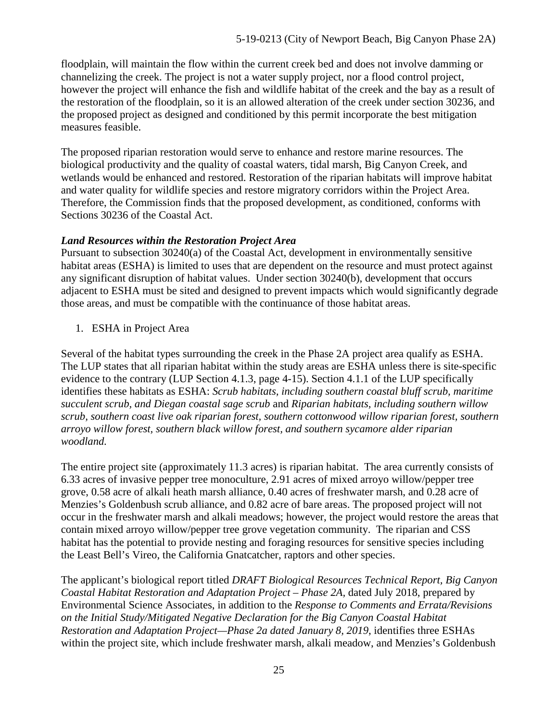floodplain, will maintain the flow within the current creek bed and does not involve damming or channelizing the creek. The project is not a water supply project, nor a flood control project, however the project will enhance the fish and wildlife habitat of the creek and the bay as a result of the restoration of the floodplain, so it is an allowed alteration of the creek under section 30236, and the proposed project as designed and conditioned by this permit incorporate the best mitigation measures feasible.

The proposed riparian restoration would serve to enhance and restore marine resources. The biological productivity and the quality of coastal waters, tidal marsh, Big Canyon Creek, and wetlands would be enhanced and restored. Restoration of the riparian habitats will improve habitat and water quality for wildlife species and restore migratory corridors within the Project Area. Therefore, the Commission finds that the proposed development, as conditioned, conforms with Sections 30236 of the Coastal Act.

#### *Land Resources within the Restoration Project Area*

Pursuant to subsection 30240(a) of the Coastal Act, development in environmentally sensitive habitat areas (ESHA) is limited to uses that are dependent on the resource and must protect against any significant disruption of habitat values. Under section 30240(b), development that occurs adjacent to ESHA must be sited and designed to prevent impacts which would significantly degrade those areas, and must be compatible with the continuance of those habitat areas.

1. ESHA in Project Area

Several of the habitat types surrounding the creek in the Phase 2A project area qualify as ESHA. The LUP states that all riparian habitat within the study areas are ESHA unless there is site-specific evidence to the contrary (LUP Section 4.1.3, page 4-15). Section 4.1.1 of the LUP specifically identifies these habitats as ESHA: *Scrub habitats, including southern coastal bluff scrub, maritime succulent scrub, and Diegan coastal sage scrub* and *Riparian habitats, including southern willow scrub, southern coast live oak riparian forest, southern cottonwood willow riparian forest, southern arroyo willow forest, southern black willow forest, and southern sycamore alder riparian woodland.* 

The entire project site (approximately 11.3 acres) is riparian habitat. The area currently consists of 6.33 acres of invasive pepper tree monoculture, 2.91 acres of mixed arroyo willow/pepper tree grove, 0.58 acre of alkali heath marsh alliance, 0.40 acres of freshwater marsh, and 0.28 acre of Menzies's Goldenbush scrub alliance, and 0.82 acre of bare areas. The proposed project will not occur in the freshwater marsh and alkali meadows; however, the project would restore the areas that contain mixed arroyo willow/pepper tree grove vegetation community. The riparian and CSS habitat has the potential to provide nesting and foraging resources for sensitive species including the Least Bell's Vireo, the California Gnatcatcher, raptors and other species.

The applicant's biological report titled *DRAFT Biological Resources Technical Report, Big Canyon Coastal Habitat Restoration and Adaptation Project – Phase 2A,* dated July 2018, prepared by Environmental Science Associates, in addition to the *Response to Comments and Errata/Revisions on the Initial Study/Mitigated Negative Declaration for the Big Canyon Coastal Habitat Restoration and Adaptation Project—Phase 2a dated January 8, 2019*, identifies three ESHAs within the project site, which include freshwater marsh, alkali meadow, and Menzies's Goldenbush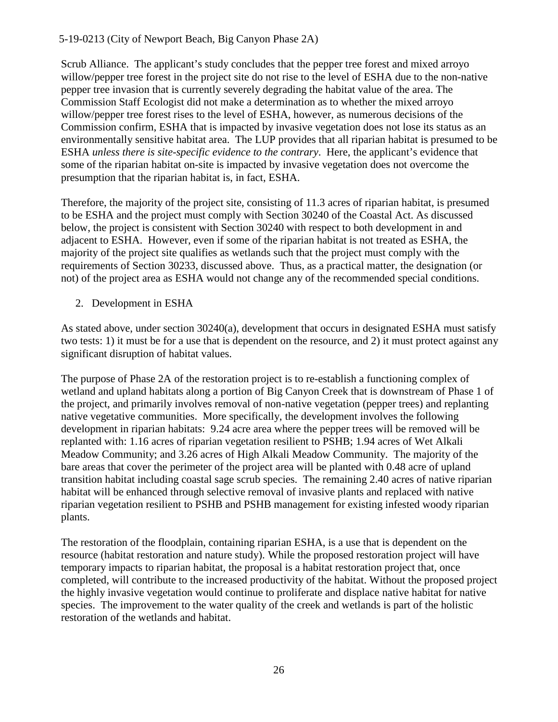Scrub Alliance. The applicant's study concludes that the pepper tree forest and mixed arroyo willow/pepper tree forest in the project site do not rise to the level of ESHA due to the non-native pepper tree invasion that is currently severely degrading the habitat value of the area. The Commission Staff Ecologist did not make a determination as to whether the mixed arroyo willow/pepper tree forest rises to the level of ESHA, however, as numerous decisions of the Commission confirm, ESHA that is impacted by invasive vegetation does not lose its status as an environmentally sensitive habitat area. The LUP provides that all riparian habitat is presumed to be ESHA *unless there is site-specific evidence to the contrary*. Here, the applicant's evidence that some of the riparian habitat on-site is impacted by invasive vegetation does not overcome the presumption that the riparian habitat is, in fact, ESHA.

Therefore, the majority of the project site, consisting of 11.3 acres of riparian habitat, is presumed to be ESHA and the project must comply with Section 30240 of the Coastal Act. As discussed below, the project is consistent with Section 30240 with respect to both development in and adjacent to ESHA. However, even if some of the riparian habitat is not treated as ESHA, the majority of the project site qualifies as wetlands such that the project must comply with the requirements of Section 30233, discussed above. Thus, as a practical matter, the designation (or not) of the project area as ESHA would not change any of the recommended special conditions.

2. Development in ESHA

As stated above, under section 30240(a), development that occurs in designated ESHA must satisfy two tests: 1) it must be for a use that is dependent on the resource, and 2) it must protect against any significant disruption of habitat values.

The purpose of Phase 2A of the restoration project is to re-establish a functioning complex of wetland and upland habitats along a portion of Big Canyon Creek that is downstream of Phase 1 of the project, and primarily involves removal of non-native vegetation (pepper trees) and replanting native vegetative communities. More specifically, the development involves the following development in riparian habitats: 9.24 acre area where the pepper trees will be removed will be replanted with: 1.16 acres of riparian vegetation resilient to PSHB; 1.94 acres of Wet Alkali Meadow Community; and 3.26 acres of High Alkali Meadow Community. The majority of the bare areas that cover the perimeter of the project area will be planted with 0.48 acre of upland transition habitat including coastal sage scrub species. The remaining 2.40 acres of native riparian habitat will be enhanced through selective removal of invasive plants and replaced with native riparian vegetation resilient to PSHB and PSHB management for existing infested woody riparian plants.

The restoration of the floodplain, containing riparian ESHA, is a use that is dependent on the resource (habitat restoration and nature study). While the proposed restoration project will have temporary impacts to riparian habitat, the proposal is a habitat restoration project that, once completed, will contribute to the increased productivity of the habitat. Without the proposed project the highly invasive vegetation would continue to proliferate and displace native habitat for native species. The improvement to the water quality of the creek and wetlands is part of the holistic restoration of the wetlands and habitat.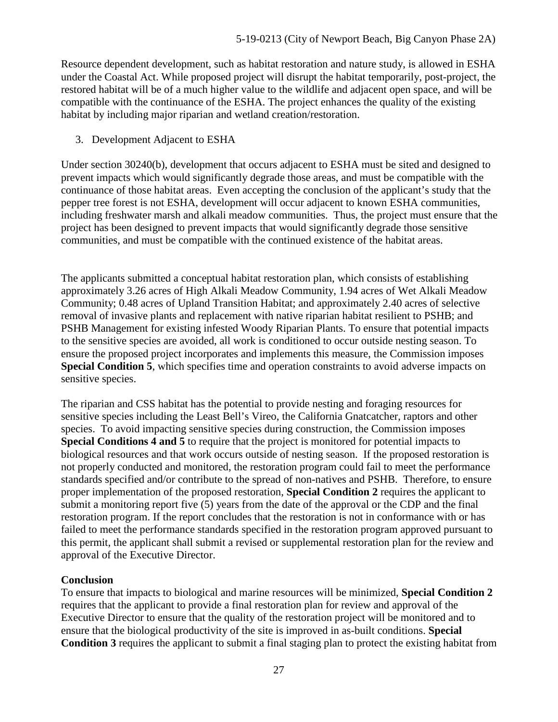Resource dependent development, such as habitat restoration and nature study, is allowed in ESHA under the Coastal Act. While proposed project will disrupt the habitat temporarily, post-project, the restored habitat will be of a much higher value to the wildlife and adjacent open space, and will be compatible with the continuance of the ESHA. The project enhances the quality of the existing habitat by including major riparian and wetland creation/restoration.

3. Development Adjacent to ESHA

Under section 30240(b), development that occurs adjacent to ESHA must be sited and designed to prevent impacts which would significantly degrade those areas, and must be compatible with the continuance of those habitat areas. Even accepting the conclusion of the applicant's study that the pepper tree forest is not ESHA, development will occur adjacent to known ESHA communities, including freshwater marsh and alkali meadow communities. Thus, the project must ensure that the project has been designed to prevent impacts that would significantly degrade those sensitive communities, and must be compatible with the continued existence of the habitat areas.

The applicants submitted a conceptual habitat restoration plan, which consists of establishing approximately 3.26 acres of High Alkali Meadow Community, 1.94 acres of Wet Alkali Meadow Community; 0.48 acres of Upland Transition Habitat; and approximately 2.40 acres of selective removal of invasive plants and replacement with native riparian habitat resilient to PSHB; and PSHB Management for existing infested Woody Riparian Plants. To ensure that potential impacts to the sensitive species are avoided, all work is conditioned to occur outside nesting season. To ensure the proposed project incorporates and implements this measure, the Commission imposes **Special Condition 5**, which specifies time and operation constraints to avoid adverse impacts on sensitive species.

The riparian and CSS habitat has the potential to provide nesting and foraging resources for sensitive species including the Least Bell's Vireo, the California Gnatcatcher, raptors and other species. To avoid impacting sensitive species during construction, the Commission imposes **Special Conditions 4 and 5** to require that the project is monitored for potential impacts to biological resources and that work occurs outside of nesting season. If the proposed restoration is not properly conducted and monitored, the restoration program could fail to meet the performance standards specified and/or contribute to the spread of non-natives and PSHB. Therefore, to ensure proper implementation of the proposed restoration, **Special Condition 2** requires the applicant to submit a monitoring report five (5) years from the date of the approval or the CDP and the final restoration program. If the report concludes that the restoration is not in conformance with or has failed to meet the performance standards specified in the restoration program approved pursuant to this permit, the applicant shall submit a revised or supplemental restoration plan for the review and approval of the Executive Director.

#### **Conclusion**

To ensure that impacts to biological and marine resources will be minimized, **Special Condition 2** requires that the applicant to provide a final restoration plan for review and approval of the Executive Director to ensure that the quality of the restoration project will be monitored and to ensure that the biological productivity of the site is improved in as-built conditions. **Special Condition 3** requires the applicant to submit a final staging plan to protect the existing habitat from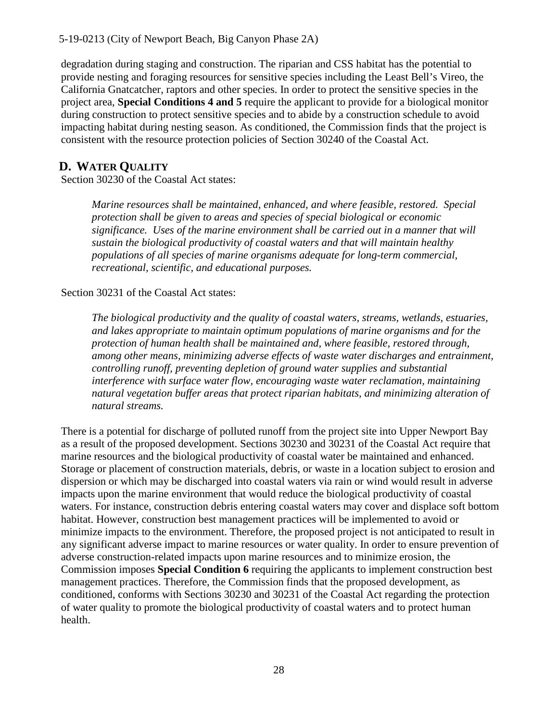degradation during staging and construction. The riparian and CSS habitat has the potential to provide nesting and foraging resources for sensitive species including the Least Bell's Vireo, the California Gnatcatcher, raptors and other species. In order to protect the sensitive species in the project area, **Special Conditions 4 and 5** require the applicant to provide for a biological monitor during construction to protect sensitive species and to abide by a construction schedule to avoid impacting habitat during nesting season. As conditioned, the Commission finds that the project is consistent with the resource protection policies of Section 30240 of the Coastal Act.

#### <span id="page-27-0"></span>**D. WATER QUALITY**

Section 30230 of the Coastal Act states:

*Marine resources shall be maintained, enhanced, and where feasible, restored. Special protection shall be given to areas and species of special biological or economic significance. Uses of the marine environment shall be carried out in a manner that will sustain the biological productivity of coastal waters and that will maintain healthy populations of all species of marine organisms adequate for long-term commercial, recreational, scientific, and educational purposes.* 

#### Section 30231 of the Coastal Act states:

*The biological productivity and the quality of coastal waters, streams, wetlands, estuaries, and lakes appropriate to maintain optimum populations of marine organisms and for the protection of human health shall be maintained and, where feasible, restored through, among other means, minimizing adverse effects of waste water discharges and entrainment, controlling runoff, preventing depletion of ground water supplies and substantial interference with surface water flow, encouraging waste water reclamation, maintaining natural vegetation buffer areas that protect riparian habitats, and minimizing alteration of natural streams.* 

There is a potential for discharge of polluted runoff from the project site into Upper Newport Bay as a result of the proposed development. Sections 30230 and 30231 of the Coastal Act require that marine resources and the biological productivity of coastal water be maintained and enhanced. Storage or placement of construction materials, debris, or waste in a location subject to erosion and dispersion or which may be discharged into coastal waters via rain or wind would result in adverse impacts upon the marine environment that would reduce the biological productivity of coastal waters. For instance, construction debris entering coastal waters may cover and displace soft bottom habitat. However, construction best management practices will be implemented to avoid or minimize impacts to the environment. Therefore, the proposed project is not anticipated to result in any significant adverse impact to marine resources or water quality. In order to ensure prevention of adverse construction-related impacts upon marine resources and to minimize erosion, the Commission imposes **Special Condition 6** requiring the applicants to implement construction best management practices. Therefore, the Commission finds that the proposed development, as conditioned, conforms with Sections 30230 and 30231 of the Coastal Act regarding the protection of water quality to promote the biological productivity of coastal waters and to protect human health.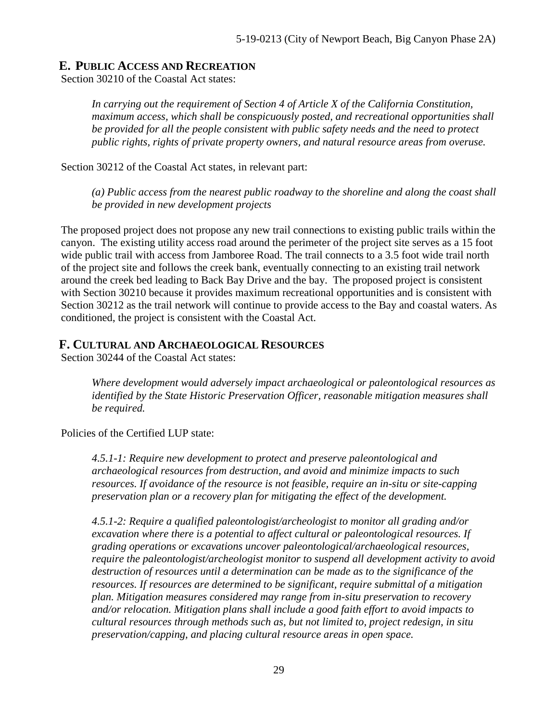#### <span id="page-28-0"></span>**E. PUBLIC ACCESS AND RECREATION**

Section 30210 of the Coastal Act states:

*In carrying out the requirement of Section 4 of Article X of the California Constitution, maximum access, which shall be conspicuously posted, and recreational opportunities shall be provided for all the people consistent with public safety needs and the need to protect public rights, rights of private property owners, and natural resource areas from overuse.* 

Section 30212 of the Coastal Act states, in relevant part:

*(a) Public access from the nearest public roadway to the shoreline and along the coast shall be provided in new development projects* 

The proposed project does not propose any new trail connections to existing public trails within the canyon. The existing utility access road around the perimeter of the project site serves as a 15 foot wide public trail with access from Jamboree Road. The trail connects to a 3.5 foot wide trail north of the project site and follows the creek bank, eventually connecting to an existing trail network around the creek bed leading to Back Bay Drive and the bay. The proposed project is consistent with Section 30210 because it provides maximum recreational opportunities and is consistent with Section 30212 as the trail network will continue to provide access to the Bay and coastal waters. As conditioned, the project is consistent with the Coastal Act.

#### <span id="page-28-1"></span>**F. CULTURAL AND ARCHAEOLOGICAL RESOURCES**

Section 30244 of the Coastal Act states:

*Where development would adversely impact archaeological or paleontological resources as identified by the State Historic Preservation Officer, reasonable mitigation measures shall be required.* 

Policies of the Certified LUP state:

*4.5.1-1: Require new development to protect and preserve paleontological and archaeological resources from destruction, and avoid and minimize impacts to such resources. If avoidance of the resource is not feasible, require an in-situ or site-capping preservation plan or a recovery plan for mitigating the effect of the development.* 

*4.5.1-2: Require a qualified paleontologist/archeologist to monitor all grading and/or excavation where there is a potential to affect cultural or paleontological resources. If grading operations or excavations uncover paleontological/archaeological resources, require the paleontologist/archeologist monitor to suspend all development activity to avoid destruction of resources until a determination can be made as to the significance of the resources. If resources are determined to be significant, require submittal of a mitigation plan. Mitigation measures considered may range from in-situ preservation to recovery and/or relocation. Mitigation plans shall include a good faith effort to avoid impacts to cultural resources through methods such as, but not limited to, project redesign, in situ preservation/capping, and placing cultural resource areas in open space.*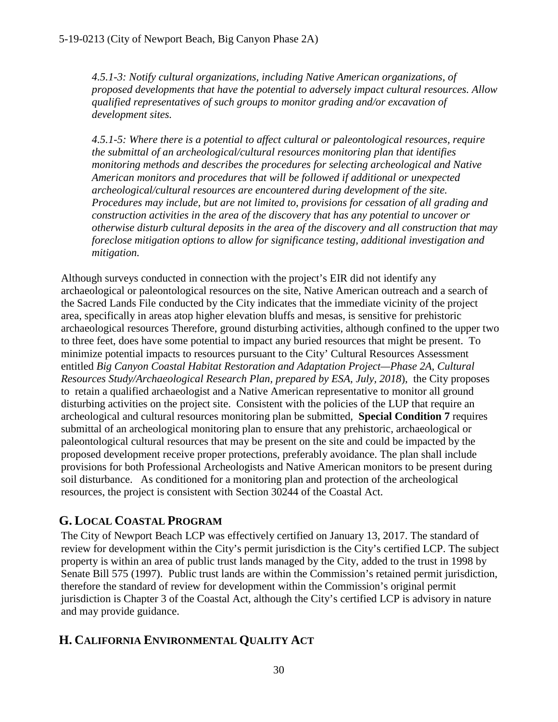*4.5.1-3: Notify cultural organizations, including Native American organizations, of proposed developments that have the potential to adversely impact cultural resources. Allow qualified representatives of such groups to monitor grading and/or excavation of development sites.* 

*4.5.1-5: Where there is a potential to affect cultural or paleontological resources, require the submittal of an archeological/cultural resources monitoring plan that identifies monitoring methods and describes the procedures for selecting archeological and Native American monitors and procedures that will be followed if additional or unexpected archeological/cultural resources are encountered during development of the site. Procedures may include, but are not limited to, provisions for cessation of all grading and construction activities in the area of the discovery that has any potential to uncover or otherwise disturb cultural deposits in the area of the discovery and all construction that may foreclose mitigation options to allow for significance testing, additional investigation and mitigation.* 

Although surveys conducted in connection with the project's EIR did not identify any archaeological or paleontological resources on the site, Native American outreach and a search of the Sacred Lands File conducted by the City indicates that the immediate vicinity of the project area, specifically in areas atop higher elevation bluffs and mesas, is sensitive for prehistoric archaeological resources Therefore, ground disturbing activities, although confined to the upper two to three feet, does have some potential to impact any buried resources that might be present. To minimize potential impacts to resources pursuant to the City' Cultural Resources Assessment entitled *Big Canyon Coastal Habitat Restoration and Adaptation Project—Phase 2A, Cultural Resources Study/Archaeological Research Plan, prepared by ESA, July, 2018*), the City proposes to retain a qualified archaeologist and a Native American representative to monitor all ground disturbing activities on the project site. Consistent with the policies of the LUP that require an archeological and cultural resources monitoring plan be submitted, **Special Condition 7** requires submittal of an archeological monitoring plan to ensure that any prehistoric, archaeological or paleontological cultural resources that may be present on the site and could be impacted by the proposed development receive proper protections, preferably avoidance. The plan shall include provisions for both Professional Archeologists and Native American monitors to be present during soil disturbance. As conditioned for a monitoring plan and protection of the archeological resources, the project is consistent with Section 30244 of the Coastal Act.

# <span id="page-29-0"></span>**G. LOCAL COASTAL PROGRAM**

The City of Newport Beach LCP was effectively certified on January 13, 2017. The standard of review for development within the City's permit jurisdiction is the City's certified LCP. The subject property is within an area of public trust lands managed by the City, added to the trust in 1998 by Senate Bill 575 (1997). Public trust lands are within the Commission's retained permit jurisdiction, therefore the standard of review for development within the Commission's original permit jurisdiction is Chapter 3 of the Coastal Act, although the City's certified LCP is advisory in nature and may provide guidance.

# <span id="page-29-1"></span>**H. CALIFORNIA ENVIRONMENTAL QUALITY ACT**